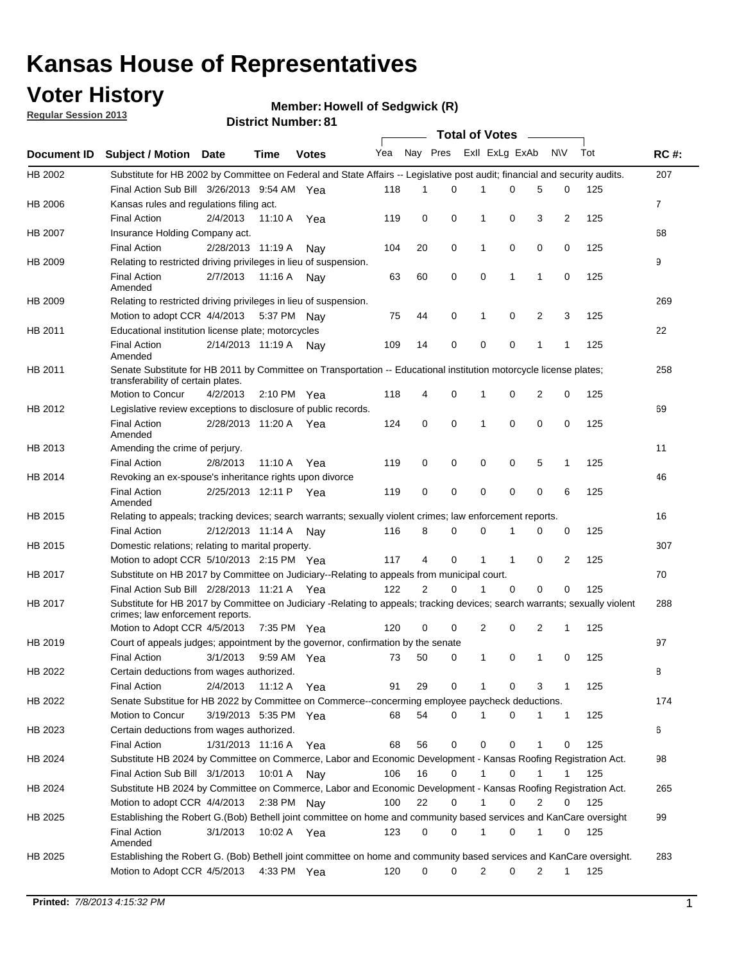## **Voter History**

**Member: Howell of Sedgwick (R)** 

**Regular Session 2013**

|                    |                                                                                                                                                                |                       | ו ט . ושעווווטדו וטווען |              |              |    | Total of Votes – |                |                |                |                |     |                |
|--------------------|----------------------------------------------------------------------------------------------------------------------------------------------------------------|-----------------------|-------------------------|--------------|--------------|----|------------------|----------------|----------------|----------------|----------------|-----|----------------|
| <b>Document ID</b> | <b>Subject / Motion Date</b>                                                                                                                                   |                       | Time                    | <b>Votes</b> | Yea Nay Pres |    |                  |                | Exll ExLg ExAb |                | N\V            | Tot | <b>RC#:</b>    |
| HB 2002            | Substitute for HB 2002 by Committee on Federal and State Affairs -- Legislative post audit; financial and security audits.                                     |                       |                         |              |              |    |                  |                |                |                |                |     | 207            |
|                    | Final Action Sub Bill 3/26/2013 9:54 AM Yea                                                                                                                    |                       |                         |              | 118          | 1  | $\Omega$         |                | 0              | 5              | 0              | 125 |                |
| HB 2006            | Kansas rules and regulations filing act.                                                                                                                       |                       |                         |              |              |    |                  |                |                |                |                |     | $\overline{7}$ |
|                    | <b>Final Action</b>                                                                                                                                            | 2/4/2013              | 11:10 A Yea             |              | 119          | 0  | 0                | 1              | 0              | 3              | $\overline{2}$ | 125 |                |
| HB 2007            | Insurance Holding Company act.                                                                                                                                 |                       |                         |              |              |    |                  |                |                |                |                |     | 68             |
|                    | <b>Final Action</b>                                                                                                                                            | 2/28/2013 11:19 A     |                         | Nav          | 104          | 20 | 0                | 1              | 0              | 0              | 0              | 125 |                |
| HB 2009            | Relating to restricted driving privileges in lieu of suspension.                                                                                               |                       |                         |              |              |    |                  |                |                |                |                |     | 9              |
|                    | <b>Final Action</b><br>Amended                                                                                                                                 | 2/7/2013              | 11:16 A                 | Nav          | 63           | 60 | 0                | 0              | 1              | 1              | 0              | 125 |                |
| HB 2009            | Relating to restricted driving privileges in lieu of suspension.                                                                                               |                       |                         |              |              |    |                  |                |                |                |                |     | 269            |
|                    | Motion to adopt CCR 4/4/2013                                                                                                                                   |                       | 5:37 PM Nay             |              | 75           | 44 | 0                | 1              | 0              | 2              | 3              | 125 |                |
| HB 2011            | Educational institution license plate; motorcycles                                                                                                             |                       |                         |              |              |    |                  |                |                |                |                |     | 22             |
|                    | <b>Final Action</b><br>Amended                                                                                                                                 | 2/14/2013 11:19 A     |                         | Nav          | 109          | 14 | 0                | 0              | 0              | 1              | 1              | 125 |                |
| HB 2011            | Senate Substitute for HB 2011 by Committee on Transportation -- Educational institution motorcycle license plates;                                             |                       |                         |              |              |    |                  |                |                |                |                |     | 258            |
|                    | transferability of certain plates.                                                                                                                             |                       |                         |              |              |    |                  |                |                |                |                |     |                |
|                    | Motion to Concur                                                                                                                                               | 4/2/2013              | $2:10 \text{ PM}$ Yea   |              | 118          | 4  | 0                | $\mathbf 1$    | 0              | $\overline{2}$ | 0              | 125 |                |
| HB 2012            | Legislative review exceptions to disclosure of public records.                                                                                                 |                       |                         |              |              |    |                  |                |                |                |                |     | 69             |
|                    | <b>Final Action</b><br>Amended                                                                                                                                 | 2/28/2013 11:20 A Yea |                         |              | 124          | 0  | 0                | 1              | 0              | 0              | 0              | 125 |                |
| HB 2013            | Amending the crime of perjury.                                                                                                                                 |                       |                         |              |              |    |                  |                |                |                |                |     | 11             |
|                    | <b>Final Action</b>                                                                                                                                            | 2/8/2013              | 11:10 A                 | Yea          | 119          | 0  | 0                | 0              | 0              | 5              | 1              | 125 |                |
| HB 2014            | Revoking an ex-spouse's inheritance rights upon divorce                                                                                                        |                       |                         |              |              |    |                  |                |                |                |                |     | 46             |
|                    | <b>Final Action</b><br>Amended                                                                                                                                 | 2/25/2013 12:11 P     |                         | Yea          | 119          | 0  | $\mathbf 0$      | 0              | 0              | 0              | 6              | 125 |                |
| HB 2015            | Relating to appeals; tracking devices; search warrants; sexually violent crimes; law enforcement reports.                                                      |                       |                         |              |              |    |                  |                |                |                |                |     | 16             |
|                    | <b>Final Action</b>                                                                                                                                            | 2/12/2013 11:14 A     |                         | Nav          | 116          | 8  | 0                | 0              | 1              | 0              | 0              | 125 |                |
| HB 2015            | Domestic relations; relating to marital property.                                                                                                              |                       |                         |              |              |    |                  |                |                |                |                |     | 307            |
|                    | Motion to adopt CCR 5/10/2013 2:15 PM Yea                                                                                                                      |                       |                         |              | 117          | 4  | 0                | $\mathbf{1}$   | $\mathbf{1}$   | 0              | 2              | 125 |                |
| HB 2017            | Substitute on HB 2017 by Committee on Judiciary--Relating to appeals from municipal court.                                                                     |                       |                         |              |              |    |                  |                |                |                |                |     | 70             |
|                    | Final Action Sub Bill 2/28/2013 11:21 A Yea                                                                                                                    |                       |                         |              | 122          | 2  | 0                | 1              | 0              | 0              | 0              | 125 |                |
| HB 2017            | Substitute for HB 2017 by Committee on Judiciary -Relating to appeals; tracking devices; search warrants; sexually violent<br>crimes; law enforcement reports. |                       |                         |              |              |    |                  |                |                |                |                |     | 288            |
|                    | Motion to Adopt CCR 4/5/2013                                                                                                                                   |                       | 7:35 PM Yea             |              | 120          | 0  | 0                | $\overline{2}$ | 0              | 2              | 1              | 125 |                |
| HB 2019            | Court of appeals judges; appointment by the governor, confirmation by the senate                                                                               |                       |                         |              |              |    |                  |                |                |                |                |     | 97             |
|                    | Final Action                                                                                                                                                   | 3/1/2013              | 9:59 AM Yea             |              | 73           | 50 | 0                | 1              | 0              | 1              | 0              | 125 |                |
| HB 2022            | Certain deductions from wages authorized.                                                                                                                      |                       |                         |              |              |    |                  |                |                |                |                |     | 8              |
|                    | <b>Final Action</b>                                                                                                                                            | 2/4/2013              | 11:12 A                 | Yea          | 91           | 29 | 0                |                | 0              | 3              | 1              | 125 |                |
| HB 2022            | Senate Substitue for HB 2022 by Committee on Commerce--concerming employee paycheck deductions.                                                                |                       |                         |              |              |    |                  |                |                |                |                |     | 174            |
|                    | Motion to Concur                                                                                                                                               | 3/19/2013 5:35 PM Yea |                         |              | 68           | 54 | 0                | 1              | 0              | 1              | $\mathbf{1}$   | 125 |                |
| HB 2023            | Certain deductions from wages authorized.                                                                                                                      |                       |                         |              |              |    |                  |                |                |                |                |     | 6              |
|                    | <b>Final Action</b>                                                                                                                                            | 1/31/2013 11:16 A     |                         | Yea          | 68           | 56 | 0                | 0              | 0              | 1              | 0              | 125 |                |
| HB 2024            | Substitute HB 2024 by Committee on Commerce, Labor and Economic Development - Kansas Roofing Registration Act.                                                 |                       |                         |              |              |    |                  |                |                |                |                |     | 98             |
|                    | Final Action Sub Bill 3/1/2013                                                                                                                                 |                       | 10:01 A                 |              | 106          | 16 | 0                | 1              | 0              | 1              | 1              | 125 |                |
|                    |                                                                                                                                                                |                       |                         | Nav          |              |    |                  |                |                |                |                |     |                |
| HB 2024            | Substitute HB 2024 by Committee on Commerce, Labor and Economic Development - Kansas Roofing Registration Act.                                                 |                       |                         |              |              |    |                  |                |                |                |                |     | 265            |
|                    | Motion to adopt CCR 4/4/2013                                                                                                                                   |                       | 2:38 PM                 | Nav          | 100          | 22 | 0                | 1              | 0              | 2              | 0              | 125 |                |
| HB 2025            | Establishing the Robert G.(Bob) Bethell joint committee on home and community based services and KanCare oversight                                             |                       |                         |              |              |    |                  |                |                |                |                |     | 99             |
|                    | <b>Final Action</b><br>Amended                                                                                                                                 | 3/1/2013              | 10:02 A Yea             |              | 123          | 0  | 0                | $\mathbf{1}$   | 0              | 1              | 0              | 125 |                |
| HB 2025            | Establishing the Robert G. (Bob) Bethell joint committee on home and community based services and KanCare oversight.                                           |                       |                         |              |              |    |                  |                |                |                |                |     | 283            |
|                    | Motion to Adopt CCR 4/5/2013                                                                                                                                   |                       | 4:33 PM Yea             |              | 120          | 0  | 0                | 2              | 0              | $\overline{2}$ | $\mathbf{1}$   | 125 |                |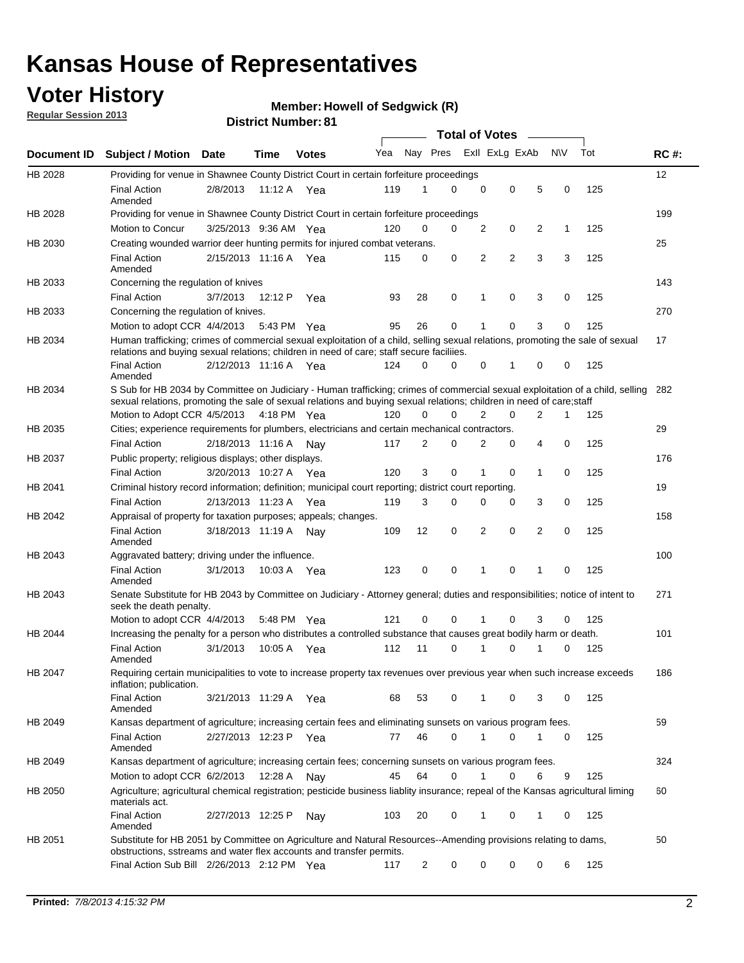## **Voter History**

**Member: Howell of Sedgwick (R)** 

**Regular Session 2013**

|             |                                                                                                                                                                                                                                                       |                       |         |              |     |                | <b>Total of Votes</b> |             |                |                |           |     |             |
|-------------|-------------------------------------------------------------------------------------------------------------------------------------------------------------------------------------------------------------------------------------------------------|-----------------------|---------|--------------|-----|----------------|-----------------------|-------------|----------------|----------------|-----------|-----|-------------|
| Document ID | <b>Subject / Motion Date</b>                                                                                                                                                                                                                          |                       | Time    | <b>Votes</b> | Yea | Nay Pres       |                       |             | Exll ExLg ExAb |                | <b>NV</b> | Tot | <b>RC#:</b> |
| HB 2028     | Providing for venue in Shawnee County District Court in certain forfeiture proceedings                                                                                                                                                                |                       |         |              |     |                |                       |             |                |                |           |     | 12          |
|             | <b>Final Action</b><br>Amended                                                                                                                                                                                                                        | 2/8/2013              |         | 11:12 A Yea  | 119 | 1              | $\Omega$              | $\mathbf 0$ | 0              | 5              | 0         | 125 |             |
| HB 2028     | Providing for venue in Shawnee County District Court in certain forfeiture proceedings                                                                                                                                                                |                       |         |              |     |                |                       |             |                |                |           |     | 199         |
|             | Motion to Concur                                                                                                                                                                                                                                      | 3/25/2013 9:36 AM Yea |         |              | 120 | 0              | 0                     | 2           | 0              | 2              | 1         | 125 |             |
| HB 2030     | Creating wounded warrior deer hunting permits for injured combat veterans.                                                                                                                                                                            |                       |         |              |     |                |                       |             |                |                |           |     | 25          |
|             | <b>Final Action</b><br>Amended                                                                                                                                                                                                                        | 2/15/2013 11:16 A     |         | Yea          | 115 | 0              | 0                     | 2           | $\overline{2}$ | 3              | 3         | 125 |             |
| HB 2033     | Concerning the regulation of knives                                                                                                                                                                                                                   |                       |         |              |     |                |                       |             |                |                |           |     | 143         |
|             | <b>Final Action</b>                                                                                                                                                                                                                                   | 3/7/2013              | 12:12 P | Yea          | 93  | 28             | 0                     | 1           | 0              | 3              | 0         | 125 |             |
| HB 2033     | Concerning the regulation of knives.                                                                                                                                                                                                                  |                       |         |              |     |                |                       |             |                |                |           |     | 270         |
|             | Motion to adopt CCR 4/4/2013                                                                                                                                                                                                                          |                       |         | 5:43 PM Yea  | 95  | 26             | 0                     |             | 0              | 3              | 0         | 125 |             |
| HB 2034     | Human trafficking; crimes of commercial sexual exploitation of a child, selling sexual relations, promoting the sale of sexual<br>relations and buying sexual relations; children in need of care; staff secure faciliies.                            |                       |         |              |     |                |                       |             |                |                |           |     | 17          |
|             | <b>Final Action</b><br>Amended                                                                                                                                                                                                                        | 2/12/2013 11:16 A Yea |         |              | 124 | $\Omega$       | $\Omega$              | 0           | 1              | 0              | 0         | 125 |             |
| HB 2034     | S Sub for HB 2034 by Committee on Judiciary - Human trafficking; crimes of commercial sexual exploitation of a child, selling<br>sexual relations, promoting the sale of sexual relations and buying sexual relations; children in need of care;staff |                       |         |              |     |                |                       |             |                |                |           |     | 282         |
|             | Motion to Adopt CCR 4/5/2013 4:18 PM Yea                                                                                                                                                                                                              |                       |         |              | 120 | 0              | 0                     | 2           | 0              | $\overline{2}$ | 1         | 125 |             |
| HB 2035     | Cities; experience requirements for plumbers, electricians and certain mechanical contractors.                                                                                                                                                        |                       |         |              |     |                |                       |             |                |                |           |     | 29          |
|             | <b>Final Action</b>                                                                                                                                                                                                                                   | 2/18/2013 11:16 A     |         | Nav          | 117 | 2              | 0                     | 2           | 0              | 4              | 0         | 125 |             |
| HB 2037     | Public property; religious displays; other displays.                                                                                                                                                                                                  |                       |         |              |     |                |                       |             |                |                |           |     | 176         |
|             | <b>Final Action</b>                                                                                                                                                                                                                                   | 3/20/2013 10:27 A     |         | Yea          | 120 | 3              | 0                     | 1           | 0              | 1              | 0         | 125 |             |
| HB 2041     | Criminal history record information; definition; municipal court reporting; district court reporting.                                                                                                                                                 |                       |         |              |     |                |                       |             |                |                |           |     | 19          |
|             | <b>Final Action</b>                                                                                                                                                                                                                                   | 2/13/2013 11:23 A     |         | Yea          | 119 | 3              | 0                     | 0           | 0              | 3              | 0         | 125 |             |
| HB 2042     | Appraisal of property for taxation purposes; appeals; changes.                                                                                                                                                                                        |                       |         |              |     |                |                       |             |                |                |           |     | 158         |
|             | <b>Final Action</b><br>Amended                                                                                                                                                                                                                        | 3/18/2013 11:19 A     |         | Nav          | 109 | 12             | 0                     | 2           | 0              | $\overline{2}$ | 0         | 125 |             |
| HB 2043     | Aggravated battery; driving under the influence.                                                                                                                                                                                                      |                       |         |              |     |                |                       |             |                |                |           |     | 100         |
|             | <b>Final Action</b><br>Amended                                                                                                                                                                                                                        | 3/1/2013              |         | 10:03 A Yea  | 123 | 0              | 0                     |             | 0              | 1              | 0         | 125 |             |
| HB 2043     | Senate Substitute for HB 2043 by Committee on Judiciary - Attorney general; duties and responsibilities; notice of intent to<br>seek the death penalty.                                                                                               |                       |         |              |     |                |                       |             |                |                |           |     | 271         |
|             | Motion to adopt CCR 4/4/2013                                                                                                                                                                                                                          |                       |         | 5:48 PM Yea  | 121 | 0              | 0                     |             | 0              | 3              | 0         | 125 |             |
| HB 2044     | Increasing the penalty for a person who distributes a controlled substance that causes great bodily harm or death.                                                                                                                                    |                       |         |              |     |                |                       |             |                |                |           |     | 101         |
|             | <b>Final Action</b><br>Amended                                                                                                                                                                                                                        | 3/1/2013              | 10:05 A | Yea          | 112 | 11             | 0                     |             | 0              |                | 0         | 125 |             |
| HB 2047     | Requiring certain municipalities to vote to increase property tax revenues over previous year when such increase exceeds<br>inflation; publication.                                                                                                   |                       |         |              |     |                |                       |             |                |                |           |     | 186         |
|             | <b>Final Action</b><br>Amended                                                                                                                                                                                                                        | 3/21/2013 11:29 A Yea |         |              | 68  | 53             | 0                     |             | 0              | 3              | 0         | 125 |             |
| HB 2049     | Kansas department of agriculture; increasing certain fees and eliminating sunsets on various program fees.                                                                                                                                            |                       |         |              |     |                |                       |             |                |                |           |     | 59          |
|             | <b>Final Action</b><br>Amended                                                                                                                                                                                                                        | 2/27/2013 12:23 P Yea |         |              | 77  | 46             | 0                     | 1           | 0              | 1              | 0         | 125 |             |
| HB 2049     | Kansas department of agriculture; increasing certain fees; concerning sunsets on various program fees.                                                                                                                                                |                       |         |              |     |                |                       |             |                |                |           |     | 324         |
|             | Motion to adopt CCR 6/2/2013                                                                                                                                                                                                                          |                       | 12:28 A | Nay          | 45  | 64             | 0                     |             | 0              | 6              | 9         | 125 |             |
| HB 2050     | Agriculture; agricultural chemical registration; pesticide business liablity insurance; repeal of the Kansas agricultural liming<br>materials act.                                                                                                    |                       |         |              |     |                |                       |             |                |                |           |     | 60          |
|             | <b>Final Action</b><br>Amended                                                                                                                                                                                                                        | 2/27/2013 12:25 P     |         | Nay          | 103 | 20             | 0                     | 1           | 0              | 1              | 0         | 125 |             |
| HB 2051     | Substitute for HB 2051 by Committee on Agriculture and Natural Resources--Amending provisions relating to dams,<br>obstructions, sstreams and water flex accounts and transfer permits.                                                               |                       |         |              |     |                |                       |             |                |                |           |     | 50          |
|             | Final Action Sub Bill 2/26/2013 2:12 PM Yea                                                                                                                                                                                                           |                       |         |              | 117 | $\overline{c}$ | 0                     | 0           | 0              | 0              | 6         | 125 |             |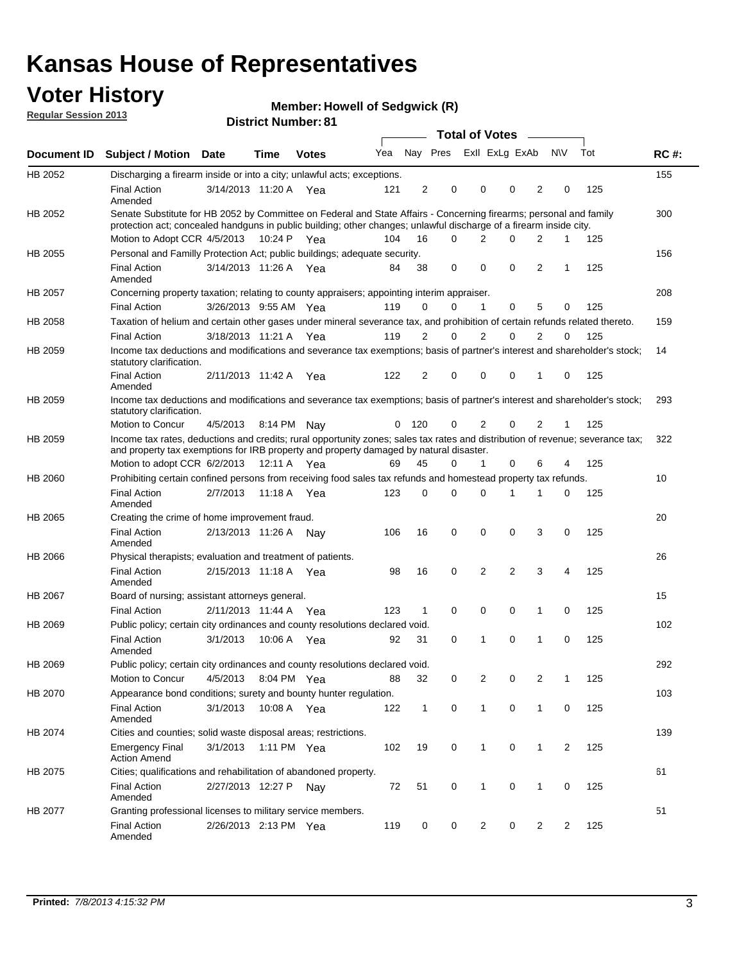# **Voter History**<br> **Megular Session 2013**

**Member: Howell of Sedgwick (R)** 

**Regular Session 2013**

| gu.u. 0000.0 2010 |                                                                                                                                                                                                                                                                          |                       |             | <b>District Number: 81</b> |     |     |                         |                |                      |                |     |     |             |
|-------------------|--------------------------------------------------------------------------------------------------------------------------------------------------------------------------------------------------------------------------------------------------------------------------|-----------------------|-------------|----------------------------|-----|-----|-------------------------|----------------|----------------------|----------------|-----|-----|-------------|
|                   |                                                                                                                                                                                                                                                                          |                       |             |                            |     |     |                         |                | Total of Votes _____ |                |     |     |             |
| Document ID       | Subject / Motion Date                                                                                                                                                                                                                                                    |                       | <b>Time</b> | <b>Votes</b>               | Yea |     | Nay Pres Exll ExLg ExAb |                |                      |                | N\V | Tot | <b>RC#:</b> |
| HB 2052           | Discharging a firearm inside or into a city; unlawful acts; exceptions.                                                                                                                                                                                                  |                       |             |                            |     |     |                         |                |                      |                |     |     | 155         |
|                   | <b>Final Action</b><br>Amended                                                                                                                                                                                                                                           | 3/14/2013 11:20 A Yea |             |                            | 121 | 2   | $\mathbf 0$             | 0              | 0                    | 2              | 0   | 125 |             |
| HB 2052           | Senate Substitute for HB 2052 by Committee on Federal and State Affairs - Concerning firearms; personal and family<br>protection act; concealed handguns in public building; other changes; unlawful discharge of a firearm inside city.<br>Motion to Adopt CCR 4/5/2013 |                       | 10:24 P     | Yea                        | 104 | 16  | 0                       |                | $\Omega$<br>2        | 2              | 1   | 125 | 300         |
| HB 2055           | Personal and Familly Protection Act; public buildings; adequate security.                                                                                                                                                                                                |                       |             |                            |     |     |                         |                |                      |                |     |     | 156         |
|                   | <b>Final Action</b><br>Amended                                                                                                                                                                                                                                           | 3/14/2013 11:26 A     |             | Yea                        | 84  | 38  | 0                       | 0              | 0                    | 2              | 1   | 125 |             |
| HB 2057           | Concerning property taxation; relating to county appraisers; appointing interim appraiser.                                                                                                                                                                               |                       |             |                            |     |     |                         |                |                      |                |     |     | 208         |
|                   | <b>Final Action</b>                                                                                                                                                                                                                                                      | 3/26/2013 9:55 AM Yea |             |                            | 119 | 0   | 0                       | 1              | $\Omega$             | 5              | 0   | 125 |             |
| HB 2058           | Taxation of helium and certain other gases under mineral severance tax, and prohibition of certain refunds related thereto.                                                                                                                                              |                       |             |                            |     |     |                         |                |                      |                |     |     | 159         |
|                   | <b>Final Action</b>                                                                                                                                                                                                                                                      | 3/18/2013 11:21 A     |             | Yea                        | 119 | 2   | 0                       | $\overline{2}$ | $\Omega$             | 2              | 0   | 125 |             |
| HB 2059           | Income tax deductions and modifications and severance tax exemptions; basis of partner's interest and shareholder's stock;<br>statutory clarification.                                                                                                                   |                       |             |                            |     |     |                         |                |                      |                |     |     | 14          |
|                   | <b>Final Action</b><br>Amended                                                                                                                                                                                                                                           | 2/11/2013 11:42 A Yea |             |                            | 122 | 2   | 0                       | $\Omega$       | 0                    | 1              | 0   | 125 |             |
| HB 2059           | Income tax deductions and modifications and severance tax exemptions; basis of partner's interest and shareholder's stock;<br>statutory clarification.                                                                                                                   |                       |             |                            |     |     |                         |                |                      |                |     |     | 293         |
|                   | Motion to Concur                                                                                                                                                                                                                                                         | 4/5/2013              | 8:14 PM     | Nay                        | 0   | 120 | 0                       | $\overline{2}$ | 0                    | 2              | 1   | 125 |             |
| HB 2059           | Income tax rates, deductions and credits; rural opportunity zones; sales tax rates and distribution of revenue; severance tax;<br>and property tax exemptions for IRB property and property damaged by natural disaster.                                                 |                       |             |                            |     |     |                         |                |                      |                |     |     | 322         |
|                   | Motion to adopt CCR 6/2/2013                                                                                                                                                                                                                                             |                       | 12:11 A Yea |                            | 69  | 45  | 0                       |                | 1<br>0               | 6              | 4   | 125 |             |
| HB 2060           | Prohibiting certain confined persons from receiving food sales tax refunds and homestead property tax refunds.                                                                                                                                                           |                       |             |                            |     |     |                         |                |                      |                |     |     | 10          |
|                   | <b>Final Action</b><br>Amended                                                                                                                                                                                                                                           | 2/7/2013              |             | 11:18 A Yea                | 123 | 0   | 0                       | $\Omega$       | 1                    | 1              | 0   | 125 |             |
| HB 2065           | Creating the crime of home improvement fraud.                                                                                                                                                                                                                            |                       |             |                            |     |     |                         |                |                      |                |     |     | 20          |
|                   | <b>Final Action</b><br>Amended                                                                                                                                                                                                                                           | 2/13/2013 11:26 A Nay |             |                            | 106 | 16  | $\mathbf 0$             | 0              | 0                    | 3              | 0   | 125 |             |
| HB 2066           | Physical therapists; evaluation and treatment of patients.                                                                                                                                                                                                               |                       |             |                            |     |     |                         |                |                      |                |     |     | 26          |
|                   | <b>Final Action</b><br>Amended                                                                                                                                                                                                                                           | 2/15/2013 11:18 A Yea |             |                            | 98  | 16  | 0                       | $\overline{2}$ | $\overline{2}$       | 3              | 4   | 125 |             |
| HB 2067           | Board of nursing; assistant attorneys general.                                                                                                                                                                                                                           |                       |             |                            |     |     |                         |                |                      |                |     |     | 15          |
|                   | <b>Final Action</b>                                                                                                                                                                                                                                                      | 2/11/2013 11:44 A     |             | Yea                        | 123 | 1   | 0                       | 0              | 0                    | 1              | 0   | 125 |             |
| HB 2069           | Public policy; certain city ordinances and county resolutions declared void.                                                                                                                                                                                             |                       |             |                            |     |     |                         |                |                      |                |     |     | 102         |
|                   | <b>Final Action</b><br>Amended                                                                                                                                                                                                                                           | 3/1/2013              | 10:06 A     | Yea                        | 92  | 31  | 0                       | 1              | 0                    | 1              | 0   | 125 |             |
| HB 2069           | Public policy; certain city ordinances and county resolutions declared void.                                                                                                                                                                                             |                       |             |                            |     |     |                         |                |                      |                |     |     | 292         |
|                   | Motion to Concur                                                                                                                                                                                                                                                         | 4/5/2013              |             | 8:04 PM Yea                | 88  | 32  | 0                       |                | 2<br>0               | 2              | 1   | 125 |             |
| HB 2070           | Appearance bond conditions; surety and bounty hunter regulation.                                                                                                                                                                                                         |                       |             |                            |     |     |                         |                |                      |                |     |     | 103         |
|                   | <b>Final Action</b><br>Amended                                                                                                                                                                                                                                           | 3/1/2013              |             | 10:08 A Yea                | 122 | 1   | 0                       |                | $\mathbf{1}$<br>0    | $\mathbf{1}$   | 0   | 125 |             |
| HB 2074           | Cities and counties; solid waste disposal areas; restrictions.                                                                                                                                                                                                           |                       |             |                            |     |     |                         |                |                      |                |     |     | 139         |
|                   | <b>Emergency Final</b><br><b>Action Amend</b>                                                                                                                                                                                                                            | 3/1/2013 1:11 PM Yea  |             |                            | 102 | 19  | 0                       |                | $\mathbf{1}$<br>0    | $\mathbf{1}$   | 2   | 125 |             |
| HB 2075           | Cities; qualifications and rehabilitation of abandoned property.                                                                                                                                                                                                         |                       |             |                            |     |     |                         |                |                      |                |     |     | 61          |
|                   | <b>Final Action</b><br>Amended                                                                                                                                                                                                                                           | 2/27/2013 12:27 P     |             | Nay                        | 72  | 51  | 0                       |                | 0<br>$\mathbf{1}$    | $\mathbf{1}$   | 0   | 125 |             |
| HB 2077           | Granting professional licenses to military service members.                                                                                                                                                                                                              |                       |             |                            |     |     |                         |                |                      |                |     |     | 51          |
|                   | <b>Final Action</b><br>Amended                                                                                                                                                                                                                                           | 2/26/2013 2:13 PM Yea |             |                            | 119 | 0   | 0                       |                | $\overline{c}$<br>0  | $\overline{2}$ | 2   | 125 |             |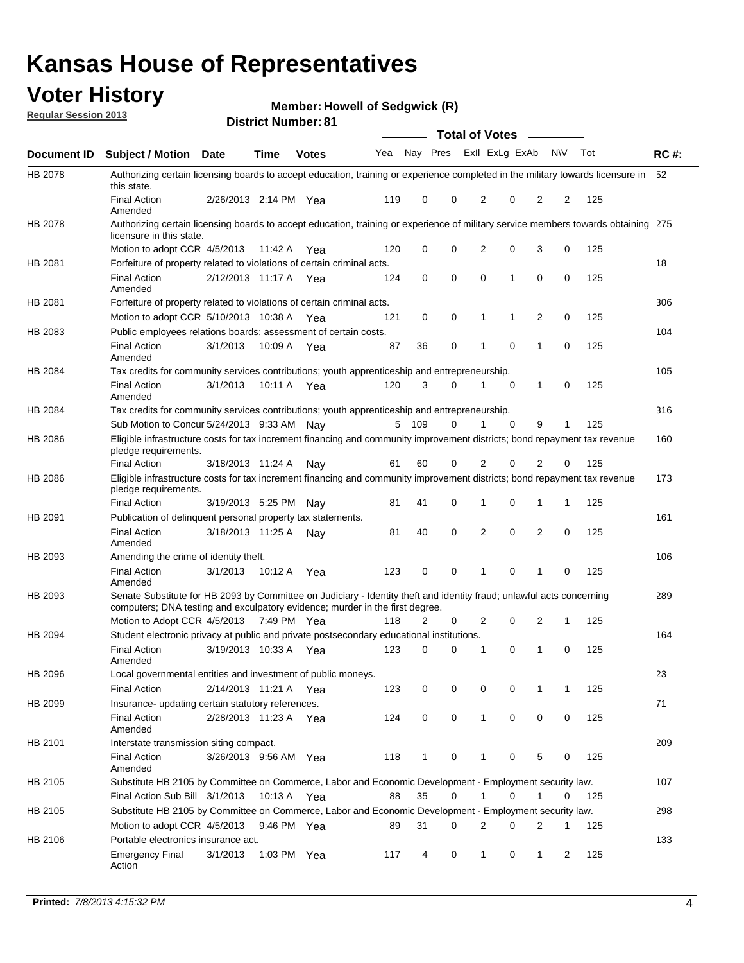**District Number: 81**

## **Voter History**

**Member: Howell of Sedgwick (R)** 

| <b>Regular Session 2013</b> |  |
|-----------------------------|--|
|-----------------------------|--|

|                |                                                                                                                                                                                                       |                       |         |               |     |     |          |          | <b>Total of Votes</b> |   |                |           |     |             |
|----------------|-------------------------------------------------------------------------------------------------------------------------------------------------------------------------------------------------------|-----------------------|---------|---------------|-----|-----|----------|----------|-----------------------|---|----------------|-----------|-----|-------------|
| Document ID    | <b>Subject / Motion Date</b>                                                                                                                                                                          |                       | Time    | <b>Votes</b>  | Yea |     | Nay Pres |          | Exll ExLg ExAb        |   |                | <b>NV</b> | Tot | <b>RC#:</b> |
| HB 2078        | Authorizing certain licensing boards to accept education, training or experience completed in the military towards licensure in<br>this state.                                                        |                       |         |               |     |     |          |          |                       |   |                |           |     | 52          |
|                | <b>Final Action</b><br>Amended                                                                                                                                                                        | 2/26/2013 2:14 PM Yea |         |               | 119 | 0   |          | 0        | 2                     | 0 | 2              | 2         | 125 |             |
| HB 2078        | Authorizing certain licensing boards to accept education, training or experience of military service members towards obtaining 275<br>licensure in this state.                                        |                       |         |               |     |     |          |          |                       |   |                |           |     |             |
|                | Motion to adopt CCR 4/5/2013                                                                                                                                                                          |                       | 11:42 A | Yea           | 120 | 0   |          | 0        | 2                     | 0 | 3              | 0         | 125 |             |
| HB 2081        | Forfeiture of property related to violations of certain criminal acts.                                                                                                                                |                       |         |               |     |     |          |          |                       |   |                |           |     | 18          |
|                | <b>Final Action</b><br>Amended                                                                                                                                                                        | 2/12/2013 11:17 A Yea |         |               | 124 | 0   |          | 0        | 0                     | 1 | $\mathbf 0$    | 0         | 125 |             |
| HB 2081        | Forfeiture of property related to violations of certain criminal acts.                                                                                                                                |                       |         |               |     |     |          |          |                       |   |                |           |     | 306         |
|                | Motion to adopt CCR 5/10/2013 10:38 A                                                                                                                                                                 |                       |         | Yea           | 121 | 0   |          | 0        | 1                     | 1 | 2              | 0         | 125 |             |
| HB 2083        | Public employees relations boards; assessment of certain costs.                                                                                                                                       |                       |         |               |     |     |          |          |                       |   |                |           |     | 104         |
|                | <b>Final Action</b><br>Amended                                                                                                                                                                        | 3/1/2013              |         | 10:09 A Yea   | 87  | 36  |          | 0        | 1                     | 0 | $\mathbf{1}$   | 0         | 125 |             |
| HB 2084        | Tax credits for community services contributions; youth apprenticeship and entrepreneurship.                                                                                                          |                       |         |               |     |     |          |          |                       |   |                |           |     | 105         |
|                | <b>Final Action</b><br>Amended                                                                                                                                                                        | 3/1/2013              |         | 10:11 A Yea   | 120 | 3   |          | $\Omega$ | 1                     | 0 | 1              | 0         | 125 |             |
| <b>HB 2084</b> | Tax credits for community services contributions; youth apprenticeship and entrepreneurship.                                                                                                          |                       |         |               |     |     |          |          |                       |   |                |           |     | 316         |
|                | Sub Motion to Concur 5/24/2013 9:33 AM Nav                                                                                                                                                            |                       |         |               | 5   | 109 |          | 0        |                       | 0 | 9              | 1         | 125 |             |
| HB 2086        | Eligible infrastructure costs for tax increment financing and community improvement districts; bond repayment tax revenue<br>pledge requirements.                                                     |                       |         |               |     |     |          |          |                       |   |                |           |     | 160         |
|                | <b>Final Action</b>                                                                                                                                                                                   | 3/18/2013 11:24 A     |         | Nav           | 61  | 60  |          | 0        | 2                     | 0 | $\overline{2}$ | 0         | 125 |             |
| HB 2086        | Eligible infrastructure costs for tax increment financing and community improvement districts; bond repayment tax revenue<br>pledge requirements.                                                     |                       |         |               |     |     |          |          |                       |   |                |           |     | 173         |
|                | <b>Final Action</b>                                                                                                                                                                                   | 3/19/2013 5:25 PM Nay |         |               | 81  | 41  |          | 0        | 1                     | 0 | 1              | 1         | 125 | 161         |
| HB 2091        | Publication of delinquent personal property tax statements.<br><b>Final Action</b>                                                                                                                    |                       |         |               | 81  | 40  |          | 0        | $\overline{2}$        | 0 | 2              | 0         | 125 |             |
|                | Amended                                                                                                                                                                                               | 3/18/2013 11:25 A     |         | Nav           |     |     |          |          |                       |   |                |           |     |             |
| HB 2093        | Amending the crime of identity theft.                                                                                                                                                                 |                       |         |               |     |     |          |          |                       |   |                |           |     | 106         |
|                | <b>Final Action</b><br>Amended                                                                                                                                                                        | 3/1/2013              | 10:12 A | Yea           | 123 | 0   |          | 0        | 1                     | 0 | 1              | 0         | 125 |             |
| HB 2093        | Senate Substitute for HB 2093 by Committee on Judiciary - Identity theft and identity fraud; unlawful acts concerning<br>computers; DNA testing and exculpatory evidence; murder in the first degree. |                       |         |               |     |     |          |          |                       |   |                |           |     | 289         |
|                | Motion to Adopt CCR 4/5/2013 7:49 PM Yea                                                                                                                                                              |                       |         |               | 118 | 2   |          | 0        | 2                     | 0 | 2              | 1         | 125 |             |
| HB 2094        | Student electronic privacy at public and private postsecondary educational institutions.                                                                                                              |                       |         |               |     |     |          |          |                       |   |                |           |     | 164         |
|                | <b>Final Action</b><br>Amended                                                                                                                                                                        | 3/19/2013 10:33 A Yea |         |               | 123 | 0   |          | 0        | 1                     | 0 | $\mathbf{1}$   | $\Omega$  | 125 |             |
| <b>HB 2096</b> | Local governmental entities and investment of public moneys.                                                                                                                                          |                       |         |               |     |     |          |          |                       |   |                |           |     | 23          |
|                | Final Action                                                                                                                                                                                          | 2/14/2013 11:21 A Yea |         |               | 123 | 0   |          | 0        | 0                     | 0 | $\mathbf{1}$   | 1         | 125 |             |
| HB 2099        | Insurance- updating certain statutory references.                                                                                                                                                     |                       |         |               |     |     |          |          |                       |   |                |           |     | 71          |
|                | <b>Final Action</b><br>Amended                                                                                                                                                                        | 2/28/2013 11:23 A Yea |         |               | 124 | 0   |          | 0        | $\mathbf{1}$          | 0 | 0              | 0         | 125 |             |
| HB 2101        | Interstate transmission siting compact.                                                                                                                                                               |                       |         |               |     |     |          |          |                       |   |                |           |     | 209         |
|                | <b>Final Action</b><br>Amended                                                                                                                                                                        | 3/26/2013 9:56 AM Yea |         |               | 118 | 1   |          | 0        | 1                     | 0 | 5              | 0         | 125 |             |
| HB 2105        | Substitute HB 2105 by Committee on Commerce, Labor and Economic Development - Employment security law.                                                                                                |                       |         |               |     |     |          |          |                       |   |                |           |     | 107         |
|                | Final Action Sub Bill 3/1/2013                                                                                                                                                                        |                       |         | 10:13 A Yea   | 88  | 35  |          | 0        | 1                     | 0 | 1              | 0         | 125 |             |
| HB 2105        | Substitute HB 2105 by Committee on Commerce, Labor and Economic Development - Employment security law.                                                                                                |                       |         |               |     |     |          |          |                       |   |                |           |     | 298         |
|                | Motion to adopt CCR 4/5/2013                                                                                                                                                                          |                       |         | 9:46 PM Yea   | 89  | 31  |          | 0        | 2                     | 0 | 2              | 1         | 125 |             |
| HB 2106        | Portable electronics insurance act.                                                                                                                                                                   |                       |         |               |     |     |          |          |                       |   |                |           |     | 133         |
|                | <b>Emergency Final</b><br>Action                                                                                                                                                                      | 3/1/2013              |         | 1:03 PM $Yea$ | 117 | 4   |          | 0        | $\mathbf{1}$          | 0 | $\mathbf{1}$   | 2         | 125 |             |
|                |                                                                                                                                                                                                       |                       |         |               |     |     |          |          |                       |   |                |           |     |             |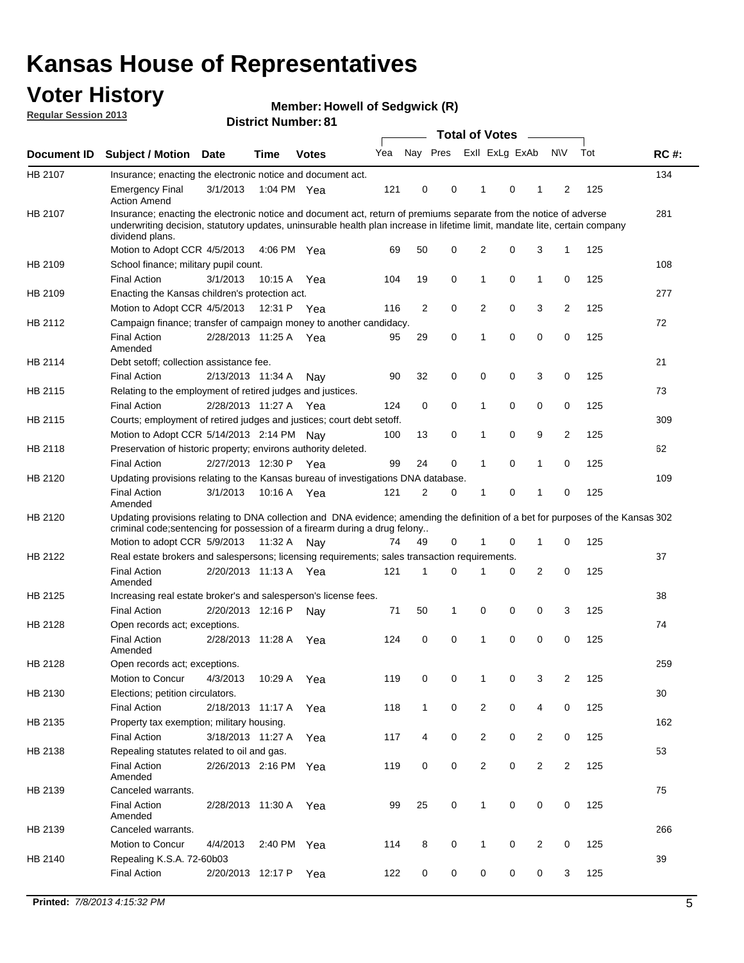## **Voter History**

**Member: Howell of Sedgwick (R)** 

**Regular Session 2013**

|             |                                                                                                                                                                                                                                                                      |                       |             |              |     |                         | <b>Total of Votes</b> |                |   | $\frac{1}{2}$  |                |     |             |
|-------------|----------------------------------------------------------------------------------------------------------------------------------------------------------------------------------------------------------------------------------------------------------------------|-----------------------|-------------|--------------|-----|-------------------------|-----------------------|----------------|---|----------------|----------------|-----|-------------|
| Document ID | <b>Subject / Motion</b>                                                                                                                                                                                                                                              | <b>Date</b>           | <b>Time</b> | <b>Votes</b> | Yea | Nay Pres Exll ExLg ExAb |                       |                |   |                | <b>NV</b>      | Tot | <b>RC#:</b> |
| HB 2107     | Insurance; enacting the electronic notice and document act.                                                                                                                                                                                                          |                       |             |              |     |                         |                       |                |   |                |                |     | 134         |
|             | <b>Emergency Final</b><br><b>Action Amend</b>                                                                                                                                                                                                                        | 3/1/2013              | 1:04 PM Yea |              | 121 | 0                       | 0                     | 1              | 0 | 1              | 2              | 125 |             |
| HB 2107     | Insurance; enacting the electronic notice and document act, return of premiums separate from the notice of adverse<br>underwriting decision, statutory updates, uninsurable health plan increase in lifetime limit, mandate lite, certain company<br>dividend plans. |                       |             |              |     |                         |                       |                |   |                |                |     | 281         |
|             | Motion to Adopt CCR 4/5/2013                                                                                                                                                                                                                                         |                       | 4:06 PM Yea |              | 69  | 50                      | 0                     | 2              | 0 | 3              | 1              | 125 |             |
| HB 2109     | School finance; military pupil count.                                                                                                                                                                                                                                |                       |             |              |     |                         |                       |                |   |                |                |     | 108         |
|             | <b>Final Action</b>                                                                                                                                                                                                                                                  | 3/1/2013              | 10:15 A     | Yea          | 104 | 19                      | 0                     | 1              | 0 | $\mathbf{1}$   | 0              | 125 |             |
| HB 2109     | Enacting the Kansas children's protection act.                                                                                                                                                                                                                       |                       |             |              |     |                         |                       |                |   |                |                |     | 277         |
|             | Motion to Adopt CCR 4/5/2013                                                                                                                                                                                                                                         |                       | 12:31 P Yea |              | 116 | 2                       | 0                     | 2              | 0 | 3              | 2              | 125 |             |
| HB 2112     | Campaign finance; transfer of campaign money to another candidacy.                                                                                                                                                                                                   |                       |             |              |     |                         |                       |                |   |                |                |     | 72          |
|             | <b>Final Action</b><br>Amended                                                                                                                                                                                                                                       | 2/28/2013 11:25 A Yea |             |              | 95  | 29                      | 0                     | 1              | 0 | 0              | 0              | 125 |             |
| HB 2114     | Debt setoff; collection assistance fee.                                                                                                                                                                                                                              |                       |             |              |     |                         |                       |                |   |                |                |     | 21          |
|             | <b>Final Action</b>                                                                                                                                                                                                                                                  | 2/13/2013 11:34 A     |             | Nay          | 90  | 32                      | 0                     | 0              | 0 | 3              | 0              | 125 |             |
| HB 2115     | Relating to the employment of retired judges and justices.                                                                                                                                                                                                           |                       |             |              |     |                         |                       |                |   |                |                |     | 73          |
|             | <b>Final Action</b>                                                                                                                                                                                                                                                  | 2/28/2013 11:27 A     |             | Yea          | 124 | 0                       | 0                     | 1              | 0 | 0              | 0              | 125 |             |
| HB 2115     | Courts; employment of retired judges and justices; court debt setoff.                                                                                                                                                                                                |                       |             |              |     |                         |                       |                |   |                |                |     | 309         |
|             | Motion to Adopt CCR 5/14/2013 2:14 PM Nav                                                                                                                                                                                                                            |                       |             |              | 100 | 13                      | 0                     | 1              | 0 | 9              | $\overline{2}$ | 125 |             |
| HB 2118     | Preservation of historic property; environs authority deleted.                                                                                                                                                                                                       |                       |             |              |     |                         |                       |                |   |                |                |     | 62          |
|             | <b>Final Action</b>                                                                                                                                                                                                                                                  | 2/27/2013 12:30 P     |             | Yea          | 99  | 24                      | 0                     | 1              | 0 | 1              | 0              | 125 |             |
| HB 2120     | Updating provisions relating to the Kansas bureau of investigations DNA database.                                                                                                                                                                                    |                       |             |              |     |                         |                       |                |   |                |                |     | 109         |
|             | <b>Final Action</b><br>Amended                                                                                                                                                                                                                                       | 3/1/2013              | 10:16 A     | Yea          | 121 | 2                       | 0                     | 1              | 0 | 1              | 0              | 125 |             |
| HB 2120     | Updating provisions relating to DNA collection and DNA evidence; amending the definition of a bet for purposes of the Kansas 302<br>criminal code; sentencing for possession of a firearm during a drug felony                                                       |                       |             |              |     |                         |                       |                |   |                |                |     |             |
|             | Motion to adopt CCR 5/9/2013 11:32 A Nay                                                                                                                                                                                                                             |                       |             |              | 74  | 49                      | 0                     | 1              | 0 | 1              | 0              | 125 |             |
| HB 2122     | Real estate brokers and salespersons; licensing requirements; sales transaction requirements.                                                                                                                                                                        |                       |             |              |     |                         |                       |                |   |                |                |     | 37          |
|             | <b>Final Action</b><br>Amended                                                                                                                                                                                                                                       | 2/20/2013 11:13 A Yea |             |              | 121 | 1                       | 0                     |                | 0 | 2              | 0              | 125 |             |
| HB 2125     | Increasing real estate broker's and salesperson's license fees.                                                                                                                                                                                                      |                       |             |              |     |                         |                       |                |   |                |                |     | 38          |
|             | <b>Final Action</b>                                                                                                                                                                                                                                                  | 2/20/2013 12:16 P     |             | Nav          | 71  | 50                      | 1                     | 0              | 0 | 0              | 3              | 125 |             |
| HB 2128     | Open records act; exceptions.                                                                                                                                                                                                                                        |                       |             |              |     |                         |                       |                |   |                |                |     | 74          |
|             | <b>Final Action</b>                                                                                                                                                                                                                                                  | 2/28/2013 11:28 A     |             | Yea          | 124 | 0                       | 0                     | 1              | 0 | 0              | 0              | 125 |             |
| HB 2128     | Amended<br>Open records act; exceptions.                                                                                                                                                                                                                             |                       |             |              |     |                         |                       |                |   |                |                |     | 259         |
|             | Motion to Concur                                                                                                                                                                                                                                                     | 4/3/2013              | 10:29 A     | Yea          | 119 | 0                       | 0                     | 1              | 0 | 3              | $\overline{2}$ | 125 |             |
| HB 2130     | Elections; petition circulators.                                                                                                                                                                                                                                     |                       |             |              |     |                         |                       |                |   |                |                |     | 30          |
|             | <b>Final Action</b>                                                                                                                                                                                                                                                  | 2/18/2013 11:17 A     |             | Yea          | 118 | $\mathbf{1}$            | 0                     | 2              | 0 | 4              | 0              | 125 |             |
|             |                                                                                                                                                                                                                                                                      |                       |             |              |     |                         |                       |                |   |                |                |     | 162         |
| HB 2135     | Property tax exemption; military housing.<br><b>Final Action</b>                                                                                                                                                                                                     | 3/18/2013 11:27 A     |             | Yea          | 117 | 4                       | 0                     | $\overline{2}$ | 0 | $\overline{2}$ | 0              | 125 |             |
| HB 2138     | Repealing statutes related to oil and gas.                                                                                                                                                                                                                           |                       |             |              |     |                         |                       |                |   |                |                |     | 53          |
|             | <b>Final Action</b>                                                                                                                                                                                                                                                  | 2/26/2013 2:16 PM Yea |             |              | 119 | 0                       | 0                     | $\overline{2}$ | 0 | $\overline{2}$ | $\overline{2}$ | 125 |             |
|             | Amended                                                                                                                                                                                                                                                              |                       |             |              |     |                         |                       |                |   |                |                |     |             |
| HB 2139     | Canceled warrants.                                                                                                                                                                                                                                                   |                       |             |              |     |                         |                       |                |   |                |                |     | 75          |
|             | <b>Final Action</b><br>Amended                                                                                                                                                                                                                                       | 2/28/2013 11:30 A     |             | Yea          | 99  | 25                      | 0                     | $\mathbf{1}$   | 0 | 0              | 0              | 125 |             |
| HB 2139     | Canceled warrants.                                                                                                                                                                                                                                                   |                       |             |              |     |                         |                       |                |   |                |                |     | 266         |
|             | Motion to Concur                                                                                                                                                                                                                                                     | 4/4/2013              | 2:40 PM     | Yea          | 114 | 8                       | 0                     | 1              | 0 | 2              | 0              | 125 |             |
| HB 2140     | Repealing K.S.A. 72-60b03                                                                                                                                                                                                                                            |                       |             |              |     |                         |                       |                |   |                |                |     | 39          |
|             | <b>Final Action</b>                                                                                                                                                                                                                                                  | 2/20/2013 12:17 P     |             | Yea          | 122 | 0                       | 0                     | 0              | 0 | 0              | 3              | 125 |             |
|             |                                                                                                                                                                                                                                                                      |                       |             |              |     |                         |                       |                |   |                |                |     |             |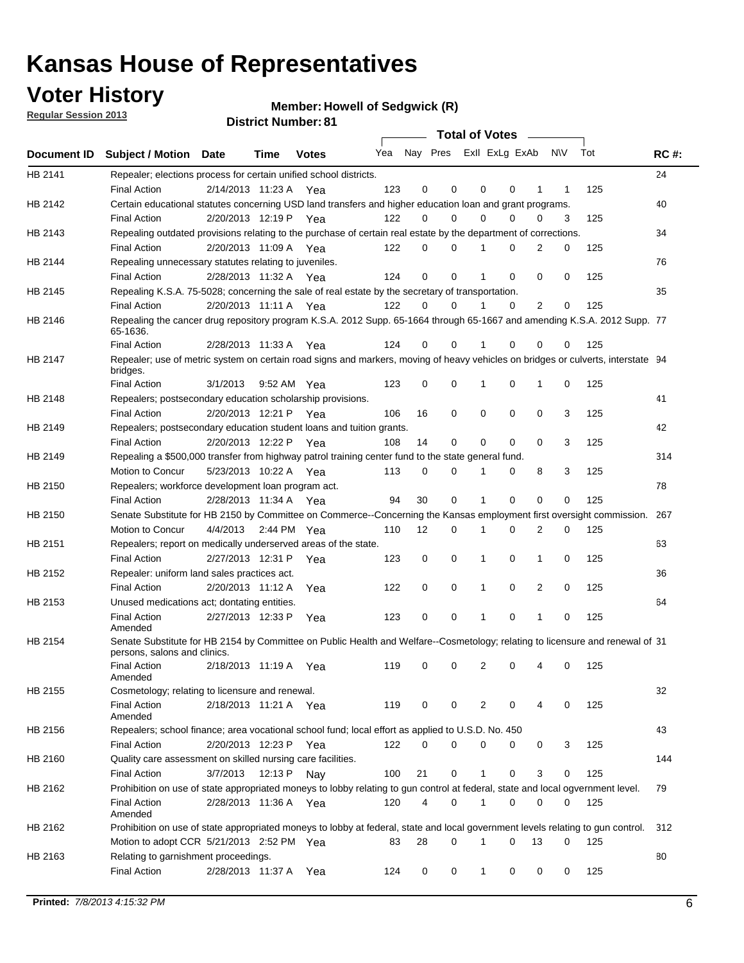## **Voter History**

**Member: Howell of Sedgwick (R)** 

**Regular Session 2013**

|         |                                                                                                                                              |          |                       |              |     |    | <b>Total of Votes</b>   |              |             |                |          |     |             |
|---------|----------------------------------------------------------------------------------------------------------------------------------------------|----------|-----------------------|--------------|-----|----|-------------------------|--------------|-------------|----------------|----------|-----|-------------|
|         | Document ID Subject / Motion Date                                                                                                            |          | Time                  | <b>Votes</b> | Yea |    | Nay Pres ExII ExLg ExAb |              |             |                | N\V      | Tot | <b>RC#:</b> |
| HB 2141 | Repealer; elections process for certain unified school districts.                                                                            |          |                       |              |     |    |                         |              |             |                |          |     | 24          |
|         | <b>Final Action</b>                                                                                                                          |          | 2/14/2013 11:23 A Yea |              | 123 | 0  | 0                       | 0            | 0           | 1              | 1        | 125 |             |
| HB 2142 | Certain educational statutes concerning USD land transfers and higher education loan and grant programs.                                     |          |                       |              |     |    |                         |              |             |                |          |     | 40          |
|         | <b>Final Action</b>                                                                                                                          |          | 2/20/2013 12:19 P Yea |              | 122 | 0  | 0                       | 0            | 0           | 0              | 3        | 125 |             |
| HB 2143 | Repealing outdated provisions relating to the purchase of certain real estate by the department of corrections.                              |          |                       |              |     |    |                         |              |             |                |          |     | 34          |
|         | <b>Final Action</b>                                                                                                                          |          | 2/20/2013 11:09 A Yea |              | 122 | 0  | 0                       | 1            | 0           | 2              | 0        | 125 |             |
| HB 2144 | Repealing unnecessary statutes relating to juveniles.                                                                                        |          |                       |              |     |    |                         |              |             |                |          |     | 76          |
|         | <b>Final Action</b>                                                                                                                          |          | 2/28/2013 11:32 A Yea |              | 124 | 0  | 0                       | 1            | 0           | 0              | 0        | 125 |             |
| HB 2145 | Repealing K.S.A. 75-5028; concerning the sale of real estate by the secretary of transportation.                                             |          |                       |              |     |    |                         |              |             |                |          |     | 35          |
|         | <b>Final Action</b>                                                                                                                          |          | 2/20/2013 11:11 A Yea |              | 122 | 0  | 0                       | 1            | 0           | 2              | 0        | 125 |             |
| HB 2146 | Repealing the cancer drug repository program K.S.A. 2012 Supp. 65-1664 through 65-1667 and amending K.S.A. 2012 Supp. 77<br>65-1636.         |          |                       |              |     |    |                         |              |             |                |          |     |             |
|         | <b>Final Action</b>                                                                                                                          |          | 2/28/2013 11:33 A     | Yea          | 124 | 0  | 0                       | 1            | 0           | 0              | 0        | 125 |             |
| HB 2147 | Repealer; use of metric system on certain road signs and markers, moving of heavy vehicles on bridges or culverts, interstate 94<br>bridges. |          |                       |              |     |    |                         |              |             |                |          |     |             |
|         | <b>Final Action</b>                                                                                                                          | 3/1/2013 |                       | 9:52 AM Yea  | 123 | 0  | 0                       | 1            | 0           | 1              | 0        | 125 |             |
| HB 2148 | Repealers; postsecondary education scholarship provisions.                                                                                   |          |                       |              |     |    |                         |              |             |                |          |     | 41          |
|         | <b>Final Action</b>                                                                                                                          |          | 2/20/2013 12:21 P Yea |              | 106 | 16 | $\mathbf 0$             | 0            | 0           | 0              | 3        | 125 |             |
| HB 2149 | Repealers; postsecondary education student loans and tuition grants.                                                                         |          |                       |              |     |    |                         |              |             |                |          |     | 42          |
|         | <b>Final Action</b>                                                                                                                          |          | 2/20/2013 12:22 P     | Yea          | 108 | 14 | 0                       | 0            | $\mathbf 0$ | 0              | 3        | 125 |             |
| HB 2149 | Repealing a \$500,000 transfer from highway patrol training center fund to the state general fund.                                           |          |                       |              |     |    |                         |              |             |                |          |     | 314         |
|         | Motion to Concur                                                                                                                             |          | 5/23/2013 10:22 A Yea |              | 113 | 0  | 0                       | 1            | 0           | 8              | 3        | 125 |             |
| HB 2150 | Repealers; workforce development loan program act.                                                                                           |          |                       |              |     |    |                         |              |             |                |          |     | 78          |
|         | <b>Final Action</b>                                                                                                                          |          | 2/28/2013 11:34 A Yea |              | 94  | 30 | $\mathbf 0$             | $\mathbf{1}$ | 0           | 0              | 0        | 125 |             |
| HB 2150 | Senate Substitute for HB 2150 by Committee on Commerce--Concerning the Kansas employment first oversight commission.                         |          |                       |              |     |    |                         |              |             |                |          |     | 267         |
|         | Motion to Concur                                                                                                                             |          | 4/4/2013 2:44 PM Yea  |              | 110 | 12 | 0                       | 1            | 0           | 2              | 0        | 125 |             |
| HB 2151 | Repealers; report on medically underserved areas of the state.                                                                               |          |                       |              |     |    |                         |              |             |                |          |     | 63          |
|         | <b>Final Action</b>                                                                                                                          |          | 2/27/2013 12:31 P     | Yea          | 123 | 0  | 0                       | 1            | 0           | 1              | 0        | 125 |             |
| HB 2152 | Repealer: uniform land sales practices act.                                                                                                  |          |                       |              |     |    |                         |              |             |                |          |     | 36          |
|         | <b>Final Action</b>                                                                                                                          |          | 2/20/2013 11:12 A     | Yea          | 122 | 0  | $\mathbf 0$             | 1            | $\mathbf 0$ | $\overline{2}$ | 0        | 125 |             |
| HB 2153 | Unused medications act; dontating entities.                                                                                                  |          |                       |              |     |    |                         |              |             |                |          |     | 64          |
|         | <b>Final Action</b><br>Amended                                                                                                               |          | 2/27/2013 12:33 P     | Yea          | 123 | 0  | 0                       | 1            | 0           | 1              | 0        | 125 |             |
| HB 2154 | Senate Substitute for HB 2154 by Committee on Public Health and Welfare--Cosmetology; relating to licensure and renewal of 31                |          |                       |              |     |    |                         |              |             |                |          |     |             |
|         | persons, salons and clinics.<br><b>Final Action</b>                                                                                          |          | 2/18/2013 11:19 A     | Yea          | 119 | 0  | 0                       | 2            | 0           | 4              | 0        | 125 |             |
| HB 2155 | Amended<br>Cosmetology; relating to licensure and renewal.                                                                                   |          |                       |              |     |    |                         |              |             |                |          |     | 32          |
|         | <b>Final Action</b><br>Amended                                                                                                               |          | 2/18/2013 11:21 A Yea |              | 119 | 0  | 0                       | 2            | $\Omega$    |                | 0        | 125 |             |
| HB 2156 | Repealers; school finance; area vocational school fund; local effort as applied to U.S.D. No. 450                                            |          |                       |              |     |    |                         |              |             |                |          |     | 43          |
|         | <b>Final Action</b>                                                                                                                          |          | 2/20/2013 12:23 P Yea |              | 122 | 0  | 0                       | 0            | 0           | 0              | 3        | 125 |             |
| HB 2160 | Quality care assessment on skilled nursing care facilities.                                                                                  |          |                       |              |     |    |                         |              |             |                |          |     | 144         |
|         | <b>Final Action</b>                                                                                                                          | 3/7/2013 | 12:13 P               | Nav          | 100 | 21 | 0                       | 1            | 0           | 3              | 0        | 125 |             |
| HB 2162 | Prohibition on use of state appropriated moneys to lobby relating to gun control at federal, state and local ogvernment level.               |          |                       |              |     |    |                         |              |             |                |          |     | 79          |
|         | <b>Final Action</b><br>Amended                                                                                                               |          | 2/28/2013 11:36 A Yea |              | 120 | 4  | 0                       | $\mathbf{1}$ | 0           | 0              | 0        | 125 |             |
| HB 2162 | Prohibition on use of state appropriated moneys to lobby at federal, state and local government levels relating to gun control.              |          |                       |              |     |    |                         |              |             |                |          |     | 312         |
|         | Motion to adopt CCR 5/21/2013 2:52 PM Yea                                                                                                    |          |                       |              | 83  | 28 | $\Omega$                | 1            | 0           | 13             | $\Omega$ | 125 |             |
| HB 2163 | Relating to garnishment proceedings.                                                                                                         |          |                       |              |     |    |                         |              |             |                |          |     | 80          |
|         | <b>Final Action</b>                                                                                                                          |          | 2/28/2013 11:37 A Yea |              | 124 | 0  | 0                       | $\mathbf{1}$ | 0           | 0              | 0        | 125 |             |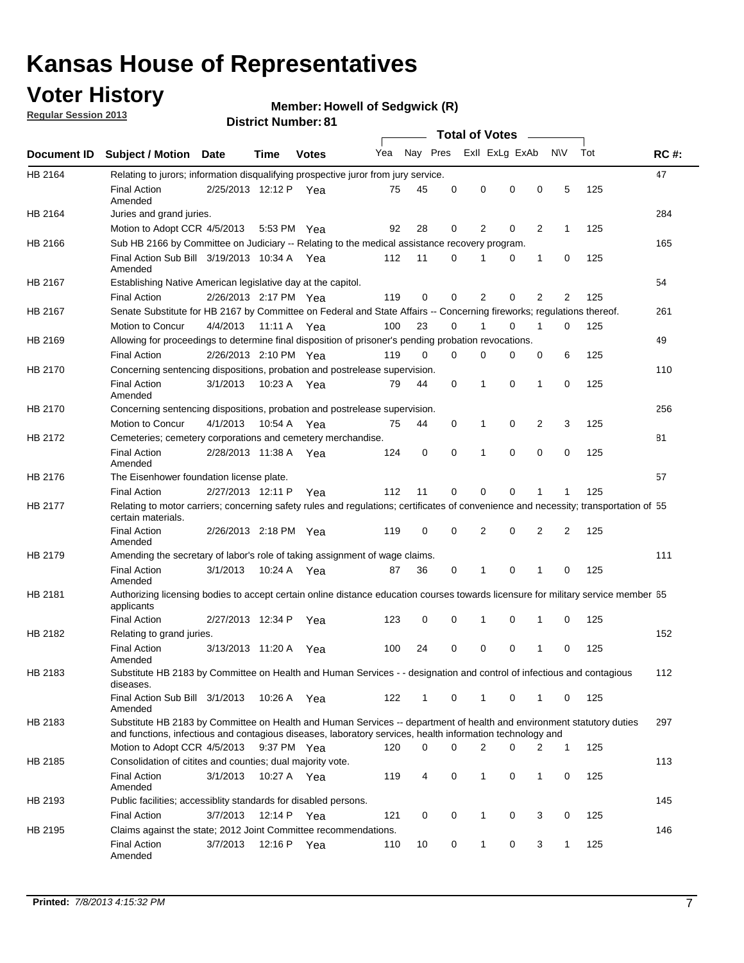## **Voter History**

**Member: Howell of Sedgwick (R)** 

**Regular Session 2013**

|             |                                                                                                                                                                                                                                    |                       |             |              |     |              |          | <b>Total of Votes</b> |          |                |              |     |             |
|-------------|------------------------------------------------------------------------------------------------------------------------------------------------------------------------------------------------------------------------------------|-----------------------|-------------|--------------|-----|--------------|----------|-----------------------|----------|----------------|--------------|-----|-------------|
| Document ID | <b>Subject / Motion Date</b>                                                                                                                                                                                                       |                       | Time        | <b>Votes</b> | Yea | Nay Pres     |          | Exll ExLg ExAb        |          |                | <b>NV</b>    | Tot | <b>RC#:</b> |
| HB 2164     | Relating to jurors; information disqualifying prospective juror from jury service.                                                                                                                                                 |                       |             |              |     |              |          |                       |          |                |              |     | 47          |
|             | <b>Final Action</b><br>Amended                                                                                                                                                                                                     | 2/25/2013 12:12 P     |             | Yea          | 75  | 45           | 0        | 0                     | 0        | 0              | 5            | 125 |             |
| HB 2164     | Juries and grand juries.                                                                                                                                                                                                           |                       |             |              |     |              |          |                       |          |                |              |     | 284         |
|             | Motion to Adopt CCR 4/5/2013                                                                                                                                                                                                       |                       |             | 5:53 PM Yea  | 92  | 28           | 0        | 2                     | 0        | 2              | 1            | 125 |             |
| HB 2166     | Sub HB 2166 by Committee on Judiciary -- Relating to the medical assistance recovery program.                                                                                                                                      |                       |             |              |     |              |          |                       |          |                |              |     | 165         |
|             | Final Action Sub Bill 3/19/2013 10:34 A Yea<br>Amended                                                                                                                                                                             |                       |             |              | 112 | 11           | 0        | 1                     | 0        | 1              | 0            | 125 |             |
| HB 2167     | Establishing Native American legislative day at the capitol.                                                                                                                                                                       |                       |             |              |     |              |          |                       |          |                |              |     | 54          |
|             | <b>Final Action</b>                                                                                                                                                                                                                | 2/26/2013 2:17 PM Yea |             |              | 119 | 0            | 0        | 2                     | 0        | $\overline{2}$ | 2            | 125 |             |
| HB 2167     | Senate Substitute for HB 2167 by Committee on Federal and State Affairs -- Concerning fireworks; regulations thereof.                                                                                                              |                       |             |              |     |              |          |                       |          |                |              |     | 261         |
|             | Motion to Concur                                                                                                                                                                                                                   | 4/4/2013 11:11 A Yea  |             |              | 100 | 23           | 0        |                       | $\Omega$ | 1              | $\Omega$     | 125 |             |
| HB 2169     | Allowing for proceedings to determine final disposition of prisoner's pending probation revocations.                                                                                                                               |                       |             |              |     |              |          |                       |          |                |              |     | 49          |
|             | <b>Final Action</b>                                                                                                                                                                                                                | 2/26/2013 2:10 PM Yea |             |              | 119 | $\Omega$     | $\Omega$ | 0                     | 0        | 0              | 6            | 125 |             |
| HB 2170     | Concerning sentencing dispositions, probation and postrelease supervision.                                                                                                                                                         |                       |             |              |     |              |          |                       |          |                |              |     | 110         |
|             | <b>Final Action</b><br>Amended                                                                                                                                                                                                     | 3/1/2013              |             | 10:23 A Yea  | 79  | 44           | 0        | 1                     | $\Omega$ | 1              | 0            | 125 |             |
| HB 2170     | Concerning sentencing dispositions, probation and postrelease supervision.                                                                                                                                                         |                       |             |              |     |              |          |                       |          |                |              |     | 256         |
|             | Motion to Concur                                                                                                                                                                                                                   | 4/1/2013              | 10:54 A     | Yea          | 75  | 44           | 0        | 1                     | 0        | 2              | 3            | 125 |             |
| HB 2172     | Cemeteries; cemetery corporations and cemetery merchandise.                                                                                                                                                                        |                       |             |              |     |              |          |                       |          |                |              |     | 81          |
|             | <b>Final Action</b><br>Amended                                                                                                                                                                                                     | 2/28/2013 11:38 A     |             | Yea          | 124 | 0            | 0        | 1                     | 0        | 0              | 0            | 125 |             |
| HB 2176     | The Eisenhower foundation license plate.                                                                                                                                                                                           |                       |             |              |     |              |          |                       |          |                |              |     | 57          |
|             | <b>Final Action</b>                                                                                                                                                                                                                | 2/27/2013 12:11 P     |             | Yea          | 112 | 11           | 0        | 0                     | 0        | 1              | 1            | 125 |             |
| HB 2177     | Relating to motor carriers; concerning safety rules and regulations; certificates of convenience and necessity; transportation of 55<br>certain materials.                                                                         |                       |             |              |     |              |          |                       |          |                |              |     |             |
|             | Final Action<br>Amended                                                                                                                                                                                                            | 2/26/2013 2:18 PM Yea |             |              | 119 | 0            | 0        | 2                     | 0        | $\overline{2}$ | 2            | 125 |             |
| HB 2179     | Amending the secretary of labor's role of taking assignment of wage claims.                                                                                                                                                        |                       |             |              |     |              |          |                       |          |                |              |     | 111         |
|             | <b>Final Action</b><br>Amended                                                                                                                                                                                                     | 3/1/2013              | 10:24 A     | Yea          | 87  | 36           | 0        | 1                     | 0        | 1              | 0            | 125 |             |
| HB 2181     | Authorizing licensing bodies to accept certain online distance education courses towards licensure for military service member 55<br>applicants                                                                                    |                       |             |              |     |              |          |                       |          |                |              |     |             |
|             | <b>Final Action</b>                                                                                                                                                                                                                | 2/27/2013 12:34 P     |             | Yea          | 123 | 0            | 0        | 1                     | 0        | 1              | 0            | 125 |             |
| HB 2182     | Relating to grand juries.                                                                                                                                                                                                          |                       |             |              |     |              |          |                       |          |                |              |     | 152         |
|             | <b>Final Action</b><br>Amended                                                                                                                                                                                                     | 3/13/2013 11:20 A     |             | Yea          | 100 | 24           | 0        | 0                     | 0        | 1              | 0            | 125 |             |
| HB 2183     | Substitute HB 2183 by Committee on Health and Human Services - - designation and control of infectious and contagious<br>diseases.                                                                                                 |                       |             |              |     |              |          |                       |          |                |              |     | 112         |
|             | Final Action Sub Bill 3/1/2013<br>Amended                                                                                                                                                                                          |                       |             | 10:26 A Yea  | 122 | $\mathbf{1}$ | 0        | $\mathbf{1}$          | 0        | $\mathbf{1}$   | 0            | 125 |             |
| HB 2183     | Substitute HB 2183 by Committee on Health and Human Services -- department of health and environment statutory duties<br>and functions, infectious and contagious diseases, laboratory services, health information technology and |                       |             |              |     |              |          |                       |          |                |              |     | 297         |
|             | Motion to Adopt CCR 4/5/2013                                                                                                                                                                                                       |                       |             | 9:37 PM Yea  | 120 | 0            | 0        | $\overline{2}$        | 0        | 2              | $\mathbf{1}$ | 125 |             |
| HB 2185     | Consolidation of citites and counties; dual majority vote.                                                                                                                                                                         |                       |             |              |     |              |          |                       |          |                |              |     | 113         |
|             | <b>Final Action</b><br>Amended                                                                                                                                                                                                     | 3/1/2013              |             | 10:27 A Yea  | 119 | 4            | 0        | 1                     | 0        | 1              | 0            | 125 |             |
| HB 2193     | Public facilities; accessiblity standards for disabled persons.                                                                                                                                                                    |                       |             |              |     |              |          |                       |          |                |              |     | 145         |
|             | <b>Final Action</b>                                                                                                                                                                                                                | 3/7/2013              | 12:14 P Yea |              | 121 | 0            | 0        | 1                     | 0        | 3              | 0            | 125 |             |
| HB 2195     | Claims against the state; 2012 Joint Committee recommendations.                                                                                                                                                                    |                       |             |              |     |              |          |                       |          |                |              |     | 146         |
|             | <b>Final Action</b><br>Amended                                                                                                                                                                                                     | 3/7/2013              | 12:16 P Yea |              | 110 | 10           | 0        | 1                     | 0        | 3              | $\mathbf{1}$ | 125 |             |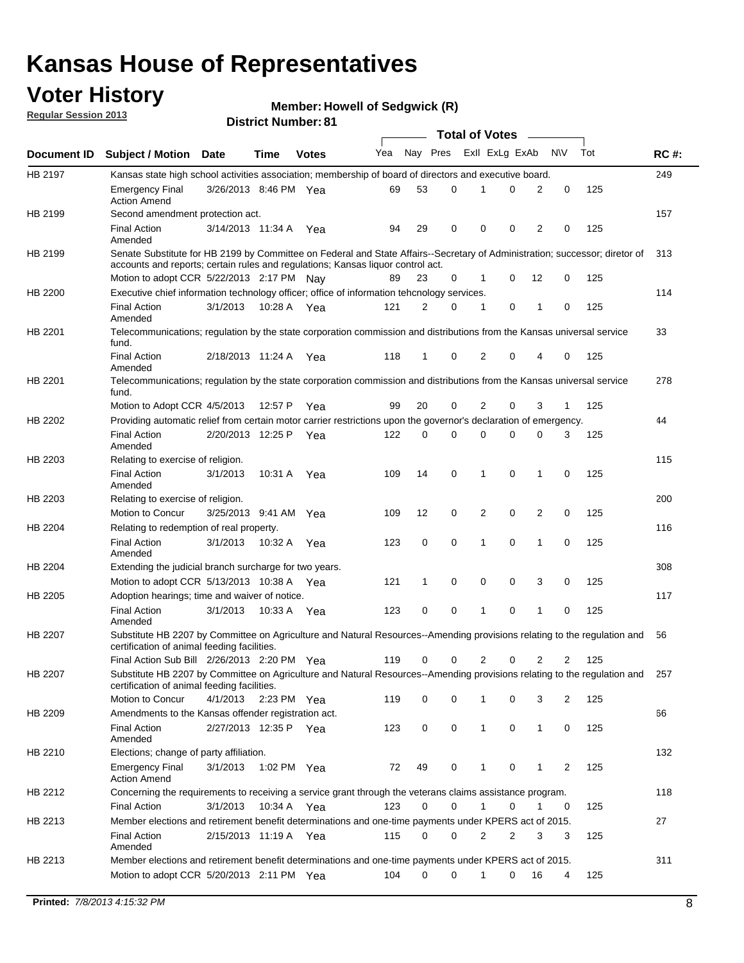## **Voter History**

**Member: Howell of Sedgwick (R)** 

**Regular Session 2013**

|             |                                                                                                                                                                                                                |                       |             |              |     |          |   | <b>Total of Votes</b> |   |                |              |     |             |
|-------------|----------------------------------------------------------------------------------------------------------------------------------------------------------------------------------------------------------------|-----------------------|-------------|--------------|-----|----------|---|-----------------------|---|----------------|--------------|-----|-------------|
| Document ID | <b>Subject / Motion Date</b>                                                                                                                                                                                   |                       | Time        | <b>Votes</b> | Yea | Nay Pres |   | Exll ExLg ExAb        |   |                | <b>NV</b>    | Tot | <b>RC#:</b> |
| HB 2197     | Kansas state high school activities association; membership of board of directors and executive board.                                                                                                         |                       |             |              |     |          |   |                       |   |                |              |     | 249         |
|             | <b>Emergency Final</b><br><b>Action Amend</b>                                                                                                                                                                  | 3/26/2013 8:46 PM Yea |             |              | 69  | 53       | 0 |                       | 0 | 2              | 0            | 125 |             |
| HB 2199     | Second amendment protection act.                                                                                                                                                                               |                       |             |              |     |          |   |                       |   |                |              |     | 157         |
|             | <b>Final Action</b><br>Amended                                                                                                                                                                                 | 3/14/2013 11:34 A     |             | Yea          | 94  | 29       | 0 | 0                     | 0 | 2              | 0            | 125 |             |
| HB 2199     | Senate Substitute for HB 2199 by Committee on Federal and State Affairs--Secretary of Administration; successor; diretor of<br>accounts and reports; certain rules and regulations; Kansas liquor control act. |                       |             |              |     |          |   |                       |   |                |              |     | 313         |
|             | Motion to adopt CCR 5/22/2013 2:17 PM Nav                                                                                                                                                                      |                       |             |              | 89  | 23       | 0 | 1                     | 0 | 12             | 0            | 125 |             |
| HB 2200     | Executive chief information technology officer; office of information tehcnology services.                                                                                                                     |                       |             |              |     |          |   |                       |   |                |              |     | 114         |
|             | <b>Final Action</b><br>Amended                                                                                                                                                                                 | 3/1/2013              | 10:28 A     | Yea          | 121 | 2        | 0 | 1                     | 0 | 1              | 0            | 125 |             |
| HB 2201     | Telecommunications; regulation by the state corporation commission and distributions from the Kansas universal service<br>fund.                                                                                |                       |             |              |     |          |   |                       |   |                |              |     | 33          |
|             | <b>Final Action</b><br>Amended                                                                                                                                                                                 | 2/18/2013 11:24 A Yea |             |              | 118 | 1        | 0 | 2                     | 0 | 4              | 0            | 125 |             |
| HB 2201     | Telecommunications; regulation by the state corporation commission and distributions from the Kansas universal service<br>fund.                                                                                |                       |             |              |     |          |   |                       |   |                |              |     | 278         |
|             | Motion to Adopt CCR 4/5/2013                                                                                                                                                                                   |                       | 12:57 P     | Yea          | 99  | 20       | 0 | 2                     | 0 | 3              | $\mathbf{1}$ | 125 |             |
| HB 2202     | Providing automatic relief from certain motor carrier restrictions upon the governor's declaration of emergency.                                                                                               |                       |             |              |     |          |   |                       |   |                |              |     | 44          |
|             | <b>Final Action</b><br>Amended                                                                                                                                                                                 | 2/20/2013 12:25 P     |             | Yea          | 122 | 0        | 0 | 0                     | 0 | 0              | 3            | 125 |             |
| HB 2203     | Relating to exercise of religion.                                                                                                                                                                              |                       |             |              |     |          |   |                       |   |                |              |     | 115         |
|             | <b>Final Action</b><br>Amended                                                                                                                                                                                 | 3/1/2013              | 10:31 A Yea |              | 109 | 14       | 0 | 1                     | 0 | 1              | 0            | 125 |             |
| HB 2203     | Relating to exercise of religion.                                                                                                                                                                              |                       |             |              |     |          |   |                       |   |                |              |     | 200         |
|             | Motion to Concur                                                                                                                                                                                               | 3/25/2013 9:41 AM     |             | Yea          | 109 | 12       | 0 | 2                     | 0 | 2              | 0            | 125 |             |
| HB 2204     | Relating to redemption of real property.                                                                                                                                                                       |                       |             |              |     |          |   |                       |   |                |              |     | 116         |
|             | <b>Final Action</b><br>Amended                                                                                                                                                                                 | 3/1/2013              | 10:32 A     | Yea          | 123 | 0        | 0 | 1                     | 0 | 1              | 0            | 125 |             |
| HB 2204     | Extending the judicial branch surcharge for two years.                                                                                                                                                         |                       |             |              |     |          |   |                       |   |                |              |     | 308         |
|             | Motion to adopt CCR 5/13/2013 10:38 A                                                                                                                                                                          |                       |             | Yea          | 121 | 1        | 0 | 0                     | 0 | 3              | 0            | 125 |             |
| HB 2205     | Adoption hearings; time and waiver of notice.                                                                                                                                                                  |                       |             |              |     |          |   |                       |   |                |              |     | 117         |
|             | <b>Final Action</b><br>Amended                                                                                                                                                                                 | 3/1/2013              | 10:33 A     | Yea          | 123 | 0        | 0 | 1                     | 0 | 1              | 0            | 125 |             |
| HB 2207     | Substitute HB 2207 by Committee on Agriculture and Natural Resources--Amending provisions relating to the regulation and<br>certification of animal feeding facilities.                                        |                       |             |              |     |          |   |                       |   |                |              |     | 56          |
|             | Final Action Sub Bill 2/26/2013 2:20 PM Yea                                                                                                                                                                    |                       |             |              | 119 | 0        | 0 | 2                     | 0 | $\overline{2}$ | 2            | 125 |             |
| HB 2207     | Substitute HB 2207 by Committee on Agriculture and Natural Resources--Amending provisions relating to the regulation and 257<br>certification of animal feeding facilities.                                    |                       |             |              |     |          |   |                       |   |                |              |     |             |
|             | Motion to Concur                                                                                                                                                                                               | 4/1/2013              | 2:23 PM Yea |              | 119 | 0        | 0 | 1                     | 0 | 3              | 2            | 125 |             |
| HB 2209     | Amendments to the Kansas offender registration act.                                                                                                                                                            |                       |             |              |     |          |   |                       |   |                |              |     | 66          |
|             | <b>Final Action</b><br>Amended                                                                                                                                                                                 | 2/27/2013 12:35 P Yea |             |              | 123 | 0        | 0 | $\mathbf{1}$          | 0 | $\mathbf{1}$   | 0            | 125 |             |
| HB 2210     | Elections; change of party affiliation.                                                                                                                                                                        |                       |             |              |     |          |   |                       |   |                |              |     | 132         |
|             | <b>Emergency Final</b><br><b>Action Amend</b>                                                                                                                                                                  | 3/1/2013              | 1:02 PM Yea |              | 72  | 49       | 0 | 1                     | 0 | 1              | 2            | 125 |             |
| HB 2212     | Concerning the requirements to receiving a service grant through the veterans claims assistance program.                                                                                                       |                       |             |              |     |          |   |                       |   |                |              |     | 118         |
|             | <b>Final Action</b>                                                                                                                                                                                            | 3/1/2013              | 10:34 A Yea |              | 123 | 0        | 0 | $\mathbf{1}$          | 0 | 1              | 0            | 125 |             |
| HB 2213     | Member elections and retirement benefit determinations and one-time payments under KPERS act of 2015.                                                                                                          |                       |             |              |     |          |   |                       |   |                |              |     | 27          |
|             | <b>Final Action</b><br>Amended                                                                                                                                                                                 | 2/15/2013 11:19 A Yea |             |              | 115 | 0        | 0 | 2                     | 2 | 3              | 3            | 125 |             |
| HB 2213     | Member elections and retirement benefit determinations and one-time payments under KPERS act of 2015.                                                                                                          |                       |             |              |     |          |   |                       |   |                |              |     | 311         |
|             | Motion to adopt CCR 5/20/2013 2:11 PM Yea                                                                                                                                                                      |                       |             |              | 104 | 0        | 0 | 1                     | 0 | 16             | 4            | 125 |             |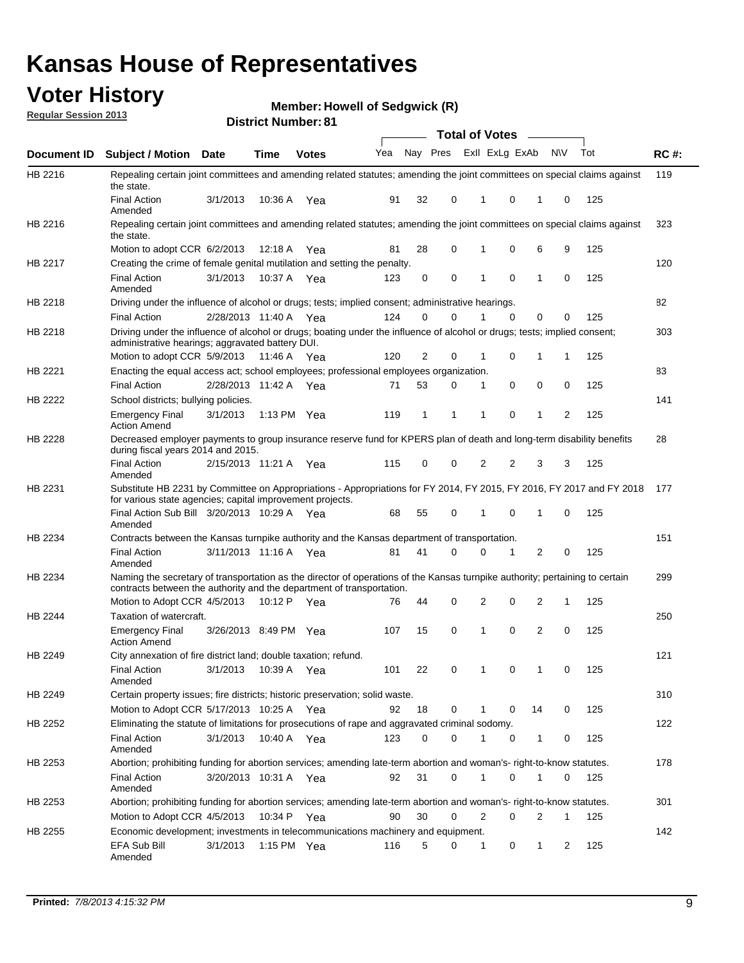## **Voter History**

**Member: Howell of Sedgwick (R)** 

**Regular Session 2013**

|             |                                                                                                                                                                                                       |                       |         |              |     |    |          | <b>Total of Votes</b> |   |                |           |     |             |
|-------------|-------------------------------------------------------------------------------------------------------------------------------------------------------------------------------------------------------|-----------------------|---------|--------------|-----|----|----------|-----------------------|---|----------------|-----------|-----|-------------|
| Document ID | <b>Subject / Motion</b>                                                                                                                                                                               | Date                  | Time    | <b>Votes</b> | Yea |    | Nay Pres | Exll ExLg ExAb        |   |                | <b>NV</b> | Tot | <b>RC#:</b> |
| HB 2216     | Repealing certain joint committees and amending related statutes; amending the joint committees on special claims against<br>the state.                                                               |                       |         |              |     |    |          |                       |   |                |           |     | 119         |
|             | <b>Final Action</b><br>Amended                                                                                                                                                                        | 3/1/2013              | 10:36 A | Yea          | 91  | 32 | 0        |                       | 0 | 1              | 0         | 125 |             |
| HB 2216     | Repealing certain joint committees and amending related statutes; amending the joint committees on special claims against<br>the state.                                                               |                       |         |              |     |    |          |                       |   |                |           |     | 323         |
|             | Motion to adopt CCR 6/2/2013                                                                                                                                                                          |                       | 12:18 A | Yea          | 81  | 28 | 0        | 1                     | 0 | 6              | 9         | 125 |             |
| HB 2217     | Creating the crime of female genital mutilation and setting the penalty.                                                                                                                              |                       |         |              |     |    |          |                       |   |                |           |     | 120         |
|             | <b>Final Action</b><br>Amended                                                                                                                                                                        | 3/1/2013              | 10:37 A | Yea          | 123 | 0  | 0        | 1                     | 0 | 1              | 0         | 125 |             |
| HB 2218     | Driving under the influence of alcohol or drugs; tests; implied consent; administrative hearings.                                                                                                     |                       |         |              |     |    |          |                       |   |                |           |     | 82          |
|             | <b>Final Action</b>                                                                                                                                                                                   | 2/28/2013 11:40 A Yea |         |              | 124 | 0  | 0        |                       | 0 | 0              | 0         | 125 |             |
| HB 2218     | Driving under the influence of alcohol or drugs; boating under the influence of alcohol or drugs; tests; implied consent;<br>administrative hearings; aggravated battery DUI.                         |                       |         |              |     |    |          |                       |   |                |           |     | 303         |
|             | Motion to adopt CCR 5/9/2013                                                                                                                                                                          |                       | 11:46 A | Yea          | 120 | 2  | 0        | 1                     | 0 | 1              | 1         | 125 |             |
| HB 2221     | Enacting the equal access act; school employees; professional employees organization.                                                                                                                 |                       |         |              |     |    |          |                       |   |                |           |     | 83          |
|             | <b>Final Action</b>                                                                                                                                                                                   | 2/28/2013 11:42 A Yea |         |              | 71  | 53 | 0        | 1                     | 0 | 0              | 0         | 125 |             |
| HB 2222     | School districts; bullying policies.                                                                                                                                                                  |                       |         |              |     |    |          |                       |   |                |           |     | 141         |
|             | <b>Emergency Final</b><br><b>Action Amend</b>                                                                                                                                                         | 3/1/2013              |         | 1:13 PM Yea  | 119 | 1  | 1        | -1                    | 0 | 1              | 2         | 125 |             |
| HB 2228     | Decreased employer payments to group insurance reserve fund for KPERS plan of death and long-term disability benefits<br>during fiscal years 2014 and 2015.                                           |                       |         |              |     |    |          |                       |   |                |           |     | 28          |
|             | <b>Final Action</b><br>Amended                                                                                                                                                                        | 2/15/2013 11:21 A     |         | Yea          | 115 | 0  | 0        | $\overline{2}$        | 2 | 3              | 3         | 125 |             |
| HB 2231     | Substitute HB 2231 by Committee on Appropriations - Appropriations for FY 2014, FY 2015, FY 2016, FY 2017 and FY 2018<br>for various state agencies; capital improvement projects.                    |                       |         |              |     |    |          |                       |   |                |           |     | 177         |
|             | Final Action Sub Bill 3/20/2013 10:29 A<br>Amended                                                                                                                                                    |                       |         | Yea          | 68  | 55 | 0        |                       | 0 | 1              | 0         | 125 |             |
| HB 2234     | Contracts between the Kansas turnpike authority and the Kansas department of transportation.                                                                                                          |                       |         |              |     |    |          |                       |   |                |           |     | 151         |
|             | <b>Final Action</b><br>Amended                                                                                                                                                                        | 3/11/2013 11:16 A     |         | Yea          | 81  | 41 | 0        | 0                     | 1 | 2              | 0         | 125 |             |
| HB 2234     | Naming the secretary of transportation as the director of operations of the Kansas turnpike authority; pertaining to certain<br>contracts between the authority and the department of transportation. |                       |         |              |     |    |          |                       |   |                |           |     | 299         |
|             | Motion to Adopt CCR 4/5/2013                                                                                                                                                                          |                       | 10:12 P | Yea          | 76  | 44 | 0        | 2                     | 0 | 2              | 1         | 125 |             |
| HB 2244     | Taxation of watercraft.                                                                                                                                                                               |                       |         |              |     |    |          |                       |   |                |           |     | 250         |
|             | <b>Emergency Final</b><br><b>Action Amend</b>                                                                                                                                                         | 3/26/2013 8:49 PM     |         | Yea          | 107 | 15 | 0        | 1                     | 0 | $\overline{2}$ | 0         | 125 |             |
| HB 2249     | City annexation of fire district land; double taxation; refund.                                                                                                                                       |                       |         |              |     |    |          |                       |   |                |           |     | 121         |
|             | <b>Final Action</b><br>Amended                                                                                                                                                                        | 3/1/2013              | 10:39 A | Yea          | 101 | 22 | 0        | $\mathbf{1}$          | 0 | 1              | 0         | 125 |             |
| HB 2249     | Certain property issues; fire districts; historic preservation; solid waste.                                                                                                                          |                       |         |              |     |    |          |                       |   |                |           |     | 310         |
|             | Motion to Adopt CCR 5/17/2013 10:25 A Yea                                                                                                                                                             |                       |         |              | 92  | 18 | 0        | 1                     | 0 | 14             | 0         | 125 |             |
| HB 2252     | Eliminating the statute of limitations for prosecutions of rape and aggravated criminal sodomy.                                                                                                       |                       |         |              |     |    |          |                       |   |                |           |     | 122         |
|             | <b>Final Action</b><br>Amended                                                                                                                                                                        | 3/1/2013              |         | 10:40 A Yea  | 123 | 0  | 0        | 1                     | 0 | 1              | 0         | 125 |             |
| HB 2253     | Abortion; prohibiting funding for abortion services; amending late-term abortion and woman's- right-to-know statutes.                                                                                 |                       |         |              |     |    |          |                       |   |                |           |     | 178         |
|             | <b>Final Action</b><br>Amended                                                                                                                                                                        | 3/20/2013 10:31 A Yea |         |              | 92  | 31 | 0        | $\mathbf{1}$          | 0 | 1              | 0         | 125 |             |
| HB 2253     | Abortion; prohibiting funding for abortion services; amending late-term abortion and woman's- right-to-know statutes.                                                                                 |                       |         |              |     |    |          |                       |   |                |           |     | 301         |
|             | Motion to Adopt CCR 4/5/2013                                                                                                                                                                          |                       |         | 10:34 P Yea  | 90  | 30 | 0        | 2                     | 0 | 2              | 1         | 125 |             |
| HB 2255     | Economic development; investments in telecommunications machinery and equipment.                                                                                                                      |                       |         |              |     |    |          |                       |   |                |           |     | 142         |
|             | EFA Sub Bill<br>Amended                                                                                                                                                                               | 3/1/2013              |         | 1:15 PM Yea  | 116 | 5  | 0        | 1                     | 0 | $\mathbf{1}$   | 2         | 125 |             |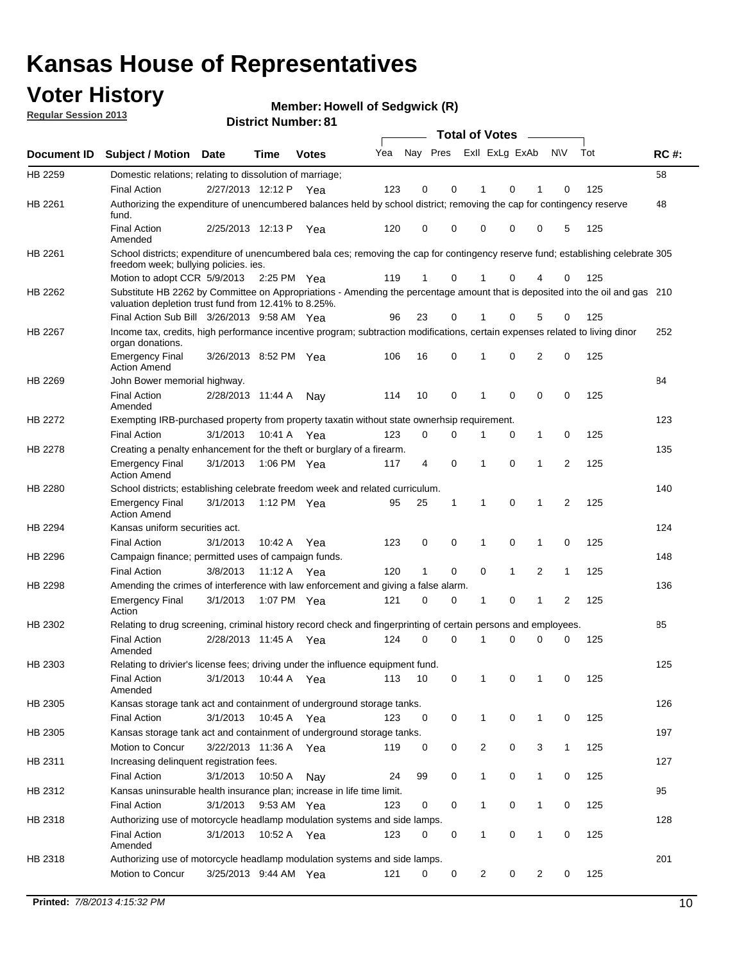## **Voter History**

**Member: Howell of Sedgwick (R)** 

**Regular Session 2013**

|                    |                                                                                                                                                                                       |                       | ו ט . וסטווואר ועוווסוע |              |     |                         |             | <b>Total of Votes</b> |              | $\sim$         |              |     |             |
|--------------------|---------------------------------------------------------------------------------------------------------------------------------------------------------------------------------------|-----------------------|-------------------------|--------------|-----|-------------------------|-------------|-----------------------|--------------|----------------|--------------|-----|-------------|
| <b>Document ID</b> | <b>Subject / Motion</b>                                                                                                                                                               | Date                  | Time                    | <b>Votes</b> | Yea | Nay Pres Exll ExLg ExAb |             |                       |              |                | N\V          | Tot | <b>RC#:</b> |
| HB 2259            | Domestic relations; relating to dissolution of marriage;                                                                                                                              |                       |                         |              |     |                         |             |                       |              |                |              |     | 58          |
|                    | <b>Final Action</b>                                                                                                                                                                   | 2/27/2013 12:12 P     |                         | Yea          | 123 | 0                       | 0           | 1                     | 0            | 1              | $\Omega$     | 125 |             |
| HB 2261            | Authorizing the expenditure of unencumbered balances held by school district; removing the cap for contingency reserve<br>fund.                                                       |                       |                         |              |     |                         |             |                       |              |                |              |     | 48          |
|                    | <b>Final Action</b><br>Amended                                                                                                                                                        | 2/25/2013 12:13 P     |                         | Yea          | 120 | 0                       | 0           | 0                     | 0            | 0              | 5            | 125 |             |
| HB 2261            | School districts; expenditure of unencumbered bala ces; removing the cap for contingency reserve fund; establishing celebrate 305<br>freedom week; bullying policies. ies.            |                       |                         |              |     |                         |             |                       |              |                |              |     |             |
|                    | Motion to adopt CCR 5/9/2013                                                                                                                                                          |                       | 2:25 PM Yea             |              | 119 | 1                       | 0           |                       | 0            | 4              | 0            | 125 |             |
| HB 2262            | Substitute HB 2262 by Committee on Appropriations - Amending the percentage amount that is deposited into the oil and gas 210<br>valuation depletion trust fund from 12.41% to 8.25%. |                       |                         |              |     |                         |             |                       |              |                |              |     |             |
|                    | Final Action Sub Bill 3/26/2013 9:58 AM Yea                                                                                                                                           |                       |                         |              | 96  | 23                      | 0           |                       | 0            | 5              | 0            | 125 |             |
| HB 2267            | Income tax, credits, high performance incentive program; subtraction modifications, certain expenses related to living dinor<br>organ donations.                                      |                       |                         |              |     |                         |             |                       |              |                |              |     | 252         |
|                    | <b>Emergency Final</b><br><b>Action Amend</b>                                                                                                                                         | 3/26/2013 8:52 PM Yea |                         |              | 106 | 16                      | 0           | 1                     | 0            | $\overline{2}$ | 0            | 125 |             |
| HB 2269            | John Bower memorial highway.                                                                                                                                                          |                       |                         |              |     |                         |             |                       |              |                |              |     | 84          |
|                    | <b>Final Action</b><br>Amended                                                                                                                                                        | 2/28/2013 11:44 A     |                         | Nay          | 114 | 10                      | 0           | 1                     | 0            | 0              | 0            | 125 |             |
| HB 2272            | Exempting IRB-purchased property from property taxatin without state ownerhsip requirement.                                                                                           |                       |                         |              |     |                         |             |                       |              |                |              |     | 123         |
|                    | <b>Final Action</b>                                                                                                                                                                   | 3/1/2013              | 10:41 A                 | Yea          | 123 | 0                       | 0           | 1                     | 0            | $\mathbf{1}$   | 0            | 125 |             |
| HB 2278            | Creating a penalty enhancement for the theft or burglary of a firearm.                                                                                                                |                       |                         |              |     |                         |             |                       |              |                |              |     | 135         |
|                    | <b>Emergency Final</b><br><b>Action Amend</b>                                                                                                                                         | 3/1/2013              | 1:06 PM Yea             |              | 117 | 4                       | $\mathbf 0$ | $\mathbf 1$           | $\Omega$     | 1              | 2            | 125 |             |
| HB 2280            | School districts; establishing celebrate freedom week and related curriculum.                                                                                                         |                       |                         |              |     |                         |             |                       |              |                |              |     | 140         |
|                    | <b>Emergency Final</b><br><b>Action Amend</b>                                                                                                                                         | 3/1/2013              | 1:12 PM Yea             |              | 95  | 25                      | 1           | 1                     | 0            | 1              | 2            | 125 |             |
| HB 2294            | Kansas uniform securities act.                                                                                                                                                        |                       |                         |              |     |                         |             |                       |              |                |              |     | 124         |
|                    | <b>Final Action</b>                                                                                                                                                                   | 3/1/2013              | 10:42 A Yea             |              | 123 | 0                       | 0           | 1                     | $\mathbf 0$  | 1              | 0            | 125 |             |
| HB 2296            | Campaign finance; permitted uses of campaign funds.                                                                                                                                   |                       |                         |              |     |                         |             |                       |              |                |              |     | 148         |
|                    | <b>Final Action</b>                                                                                                                                                                   | 3/8/2013              | 11:12 A Yea             |              | 120 | $\mathbf{1}$            | 0           | 0                     | $\mathbf{1}$ | $\overline{2}$ | $\mathbf{1}$ | 125 |             |
| HB 2298            | Amending the crimes of interference with law enforcement and giving a false alarm.                                                                                                    |                       |                         |              |     |                         |             |                       |              |                |              |     | 136         |
|                    | <b>Emergency Final</b><br>Action                                                                                                                                                      | 3/1/2013              | 1:07 PM Yea             |              | 121 | 0                       | 0           | 1                     | 0            | $\mathbf{1}$   | 2            | 125 |             |
| HB 2302            | Relating to drug screening, criminal history record check and fingerprinting of certain persons and employees.                                                                        |                       |                         |              |     |                         |             |                       |              |                |              |     | 85          |
|                    | <b>Final Action</b><br>Amended                                                                                                                                                        | 2/28/2013 11:45 A Yea |                         |              | 124 | 0                       | $\Omega$    | 1                     | 0            | 0              | $\mathbf 0$  | 125 |             |
| HB 2303            | Relating to drivier's license fees; driving under the influence equipment fund.                                                                                                       |                       |                         |              |     |                         |             |                       |              |                |              |     | 125         |
|                    | <b>Final Action</b><br>Amended                                                                                                                                                        | 3/1/2013              | 10:44 A                 | Yea          | 113 | 10                      | 0           | $\mathbf 1$           | 0            | 1              | 0            | 125 |             |
| HB 2305            | Kansas storage tank act and containment of underground storage tanks.                                                                                                                 |                       |                         |              |     |                         |             |                       |              |                |              |     | 126         |
|                    | <b>Final Action</b>                                                                                                                                                                   | 3/1/2013              | 10:45 A                 | Yea          | 123 | 0                       | 0           | 1                     | 0            | 1              | 0            | 125 |             |
| HB 2305            | Kansas storage tank act and containment of underground storage tanks.                                                                                                                 |                       |                         |              |     |                         |             |                       |              |                |              |     | 197         |
|                    | Motion to Concur                                                                                                                                                                      | 3/22/2013 11:36 A     |                         | Yea          | 119 | 0                       | 0           | 2                     | 0            | 3              | $\mathbf{1}$ | 125 |             |
| HB 2311            | Increasing delinquent registration fees.                                                                                                                                              |                       |                         |              |     |                         |             |                       |              |                |              |     | 127         |
|                    | <b>Final Action</b>                                                                                                                                                                   | 3/1/2013              | 10:50 A                 | Nay          | 24  | 99                      | 0           | $\mathbf{1}$          | 0            | $\mathbf{1}$   | 0            | 125 |             |
| HB 2312            | Kansas uninsurable health insurance plan; increase in life time limit.                                                                                                                |                       |                         |              |     |                         |             |                       |              |                |              |     | 95          |
|                    | <b>Final Action</b>                                                                                                                                                                   | 3/1/2013              | 9:53 AM Yea             |              | 123 | 0                       | 0           | 1                     | 0            | 1              | 0            | 125 |             |
| HB 2318            | Authorizing use of motorcycle headlamp modulation systems and side lamps.                                                                                                             |                       |                         |              |     |                         |             |                       |              |                |              |     | 128         |
|                    | <b>Final Action</b><br>Amended                                                                                                                                                        | 3/1/2013              | 10:52 A Yea             |              | 123 | 0                       | 0           | 1                     | 0            | 1              | 0            | 125 |             |
| HB 2318            | Authorizing use of motorcycle headlamp modulation systems and side lamps.                                                                                                             |                       |                         |              |     |                         |             |                       |              |                |              |     | 201         |
|                    | Motion to Concur                                                                                                                                                                      | 3/25/2013 9:44 AM Yea |                         |              | 121 | 0                       | 0           | 2                     | 0            | $\overline{2}$ | 0            | 125 |             |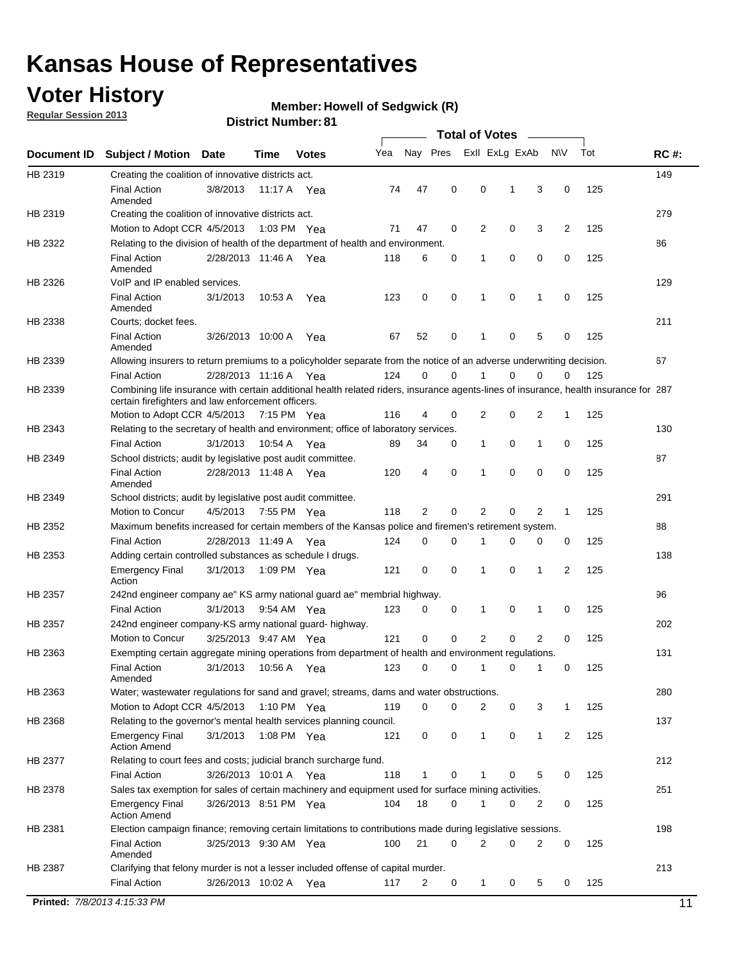## **Voter History**

**Member: Howell of Sedgwick (R)** 

**Regular Session 2013**

|             |                                                                                                                                                                                             |                       |             |               |     |             |             | <b>Total of Votes</b> |   |                |           |     |             |
|-------------|---------------------------------------------------------------------------------------------------------------------------------------------------------------------------------------------|-----------------------|-------------|---------------|-----|-------------|-------------|-----------------------|---|----------------|-----------|-----|-------------|
| Document ID | <b>Subject / Motion</b>                                                                                                                                                                     | <b>Date</b>           | Time        | <b>Votes</b>  | Yea | Nay Pres    |             | Exll ExLg ExAb        |   |                | <b>NV</b> | Tot | <b>RC#:</b> |
| HB 2319     | Creating the coalition of innovative districts act.                                                                                                                                         |                       |             |               |     |             |             |                       |   |                |           |     | 149         |
|             | <b>Final Action</b><br>Amended                                                                                                                                                              | 3/8/2013              | 11:17 A     | Yea           | 74  | 47          | 0           | 0                     | 1 | 3              | 0         | 125 |             |
| HB 2319     | Creating the coalition of innovative districts act.                                                                                                                                         |                       |             |               |     |             |             |                       |   |                |           |     | 279         |
|             | Motion to Adopt CCR 4/5/2013                                                                                                                                                                |                       |             | 1:03 PM Yea   | 71  | 47          | 0           | 2                     | 0 | 3              | 2         | 125 |             |
| HB 2322     | Relating to the division of health of the department of health and environment.                                                                                                             |                       |             |               |     |             |             |                       |   |                |           |     | 86          |
|             | <b>Final Action</b>                                                                                                                                                                         | 2/28/2013 11:46 A Yea |             |               | 118 | 6           | 0           | 1                     | 0 | 0              | 0         | 125 |             |
|             | Amended                                                                                                                                                                                     |                       |             |               |     |             |             |                       |   |                |           |     |             |
| HB 2326     | VoIP and IP enabled services.                                                                                                                                                               |                       |             |               |     |             |             |                       |   |                |           |     | 129         |
|             | <b>Final Action</b><br>Amended                                                                                                                                                              | 3/1/2013              | 10.53 A     | Yea           | 123 | $\mathbf 0$ | 0           | $\mathbf{1}$          | 0 | 1              | 0         | 125 |             |
| HB 2338     | Courts; docket fees.                                                                                                                                                                        |                       |             |               |     |             |             |                       |   |                |           |     | 211         |
|             | <b>Final Action</b><br>Amended                                                                                                                                                              | 3/26/2013 10:00 A     |             | Yea           | 67  | 52          | 0           | $\mathbf 1$           | 0 | 5              | 0         | 125 |             |
| HB 2339     | Allowing insurers to return premiums to a policyholder separate from the notice of an adverse underwriting decision.                                                                        |                       |             |               |     |             |             |                       |   |                |           |     | 67          |
|             | <b>Final Action</b>                                                                                                                                                                         | 2/28/2013 11:16 A Yea |             |               | 124 | 0           | 0           |                       | 0 | 0              | 0         | 125 |             |
| HB 2339     | Combining life insurance with certain additional health related riders, insurance agents-lines of insurance, health insurance for 287<br>certain firefighters and law enforcement officers. |                       |             |               |     |             |             |                       |   |                |           |     |             |
|             | Motion to Adopt CCR 4/5/2013 7:15 PM Yea                                                                                                                                                    |                       |             |               | 116 | 4           | 0           | 2                     | 0 | 2              | -1        | 125 |             |
| HB 2343     | Relating to the secretary of health and environment; office of laboratory services.                                                                                                         |                       |             |               |     |             |             |                       |   |                |           |     | 130         |
|             | <b>Final Action</b>                                                                                                                                                                         | 3/1/2013              | 10:54 A Yea |               | 89  | 34          | 0           | 1                     | 0 | $\mathbf{1}$   | 0         | 125 |             |
| HB 2349     | School districts; audit by legislative post audit committee.                                                                                                                                |                       |             |               |     |             |             |                       |   |                |           |     | 87          |
|             | <b>Final Action</b><br>Amended                                                                                                                                                              | 2/28/2013 11:48 A Yea |             |               | 120 | 4           | $\mathbf 0$ | $\mathbf{1}$          | 0 | $\mathbf 0$    | 0         | 125 |             |
| HB 2349     | School districts; audit by legislative post audit committee.                                                                                                                                |                       |             |               |     |             |             |                       |   |                |           |     | 291         |
|             | Motion to Concur                                                                                                                                                                            | 4/5/2013              |             | 7:55 PM Yea   | 118 | 2           | 0           | 2                     | 0 | 2              | 1         | 125 |             |
| HB 2352     | Maximum benefits increased for certain members of the Kansas police and firemen's retirement system.                                                                                        |                       |             |               |     |             |             |                       |   |                |           |     | 88          |
|             | <b>Final Action</b>                                                                                                                                                                         | 2/28/2013 11:49 A     |             | Yea           | 124 | 0           | 0           | 1                     | 0 | 0              | 0         | 125 |             |
| HB 2353     | Adding certain controlled substances as schedule I drugs.                                                                                                                                   |                       |             |               |     |             |             |                       |   |                |           |     | 138         |
|             | Emergency Final<br>Action                                                                                                                                                                   | 3/1/2013              |             | 1:09 PM Yea   | 121 | 0           | 0           | $\mathbf{1}$          | 0 | 1              | 2         | 125 |             |
| HB 2357     | 242nd engineer company ae" KS army national guard ae" membrial highway.                                                                                                                     |                       |             |               |     |             |             |                       |   |                |           |     | 96          |
|             | <b>Final Action</b>                                                                                                                                                                         | 3/1/2013              |             | 9:54 AM Yea   | 123 | 0           | 0           | 1                     | 0 | 1              | 0         | 125 |             |
| HB 2357     | 242nd engineer company-KS army national guard- highway.                                                                                                                                     |                       |             |               |     |             |             |                       |   |                |           |     | 202         |
|             | Motion to Concur                                                                                                                                                                            | 3/25/2013 9:47 AM Yea |             |               | 121 | $\mathbf 0$ | $\mathbf 0$ | 2                     | 0 | $\overline{2}$ | 0         | 125 |             |
| HB 2363     | Exempting certain aggregate mining operations from department of health and environment regulations.                                                                                        |                       |             |               |     |             |             |                       |   |                |           |     | 131         |
|             | <b>Final Action</b><br>Amended                                                                                                                                                              | 3/1/2013              | 10:56 A     | Yea           | 123 | 0           | 0           | 1                     | 0 | 1              | 0         | 125 |             |
| HB 2363     | Water; wastewater regulations for sand and gravel; streams, dams and water obstructions.                                                                                                    |                       |             |               |     |             |             |                       |   |                |           |     | 280         |
|             | Motion to Adopt CCR 4/5/2013                                                                                                                                                                |                       |             | 1:10 PM $Yea$ | 119 | 0           | 0           | 2                     | 0 | 3              | 1         | 125 |             |
| HB 2368     | Relating to the governor's mental health services planning council.                                                                                                                         |                       |             |               |     |             |             |                       |   |                |           |     | 137         |
|             | Emergency Final<br><b>Action Amend</b>                                                                                                                                                      | 3/1/2013              |             | 1:08 PM Yea   | 121 | 0           | 0           | 1                     | 0 | $\mathbf{1}$   | 2         | 125 |             |
| HB 2377     | Relating to court fees and costs; judicial branch surcharge fund.                                                                                                                           |                       |             |               |     |             |             |                       |   |                |           |     | 212         |
|             | <b>Final Action</b>                                                                                                                                                                         | 3/26/2013 10:01 A Yea |             |               | 118 | 1           | 0           |                       | 0 | 5              | 0         | 125 |             |
| HB 2378     | Sales tax exemption for sales of certain machinery and equipment used for surface mining activities.                                                                                        |                       |             |               |     |             |             |                       |   |                |           |     | 251         |
|             | Emergency Final<br><b>Action Amend</b>                                                                                                                                                      | 3/26/2013 8:51 PM Yea |             |               | 104 | 18          | 0           | 1                     | 0 | 2              | 0         | 125 |             |
| HB 2381     | Election campaign finance; removing certain limitations to contributions made during legislative sessions.                                                                                  |                       |             |               |     |             |             |                       |   |                |           |     | 198         |
|             | <b>Final Action</b>                                                                                                                                                                         | 3/25/2013 9:30 AM Yea |             |               | 100 | 21          | 0           | 2                     | 0 | 2              | 0         | 125 |             |
| HB 2387     | Amended<br>Clarifying that felony murder is not a lesser included offense of capital murder.                                                                                                |                       |             |               |     |             |             |                       |   |                |           |     | 213         |
|             | <b>Final Action</b>                                                                                                                                                                         | 3/26/2013 10:02 A     |             |               |     |             |             |                       |   |                |           | 125 |             |
|             |                                                                                                                                                                                             |                       |             | Yea           | 117 | 2           | 0           | 1                     | 0 | 5              | 0         |     |             |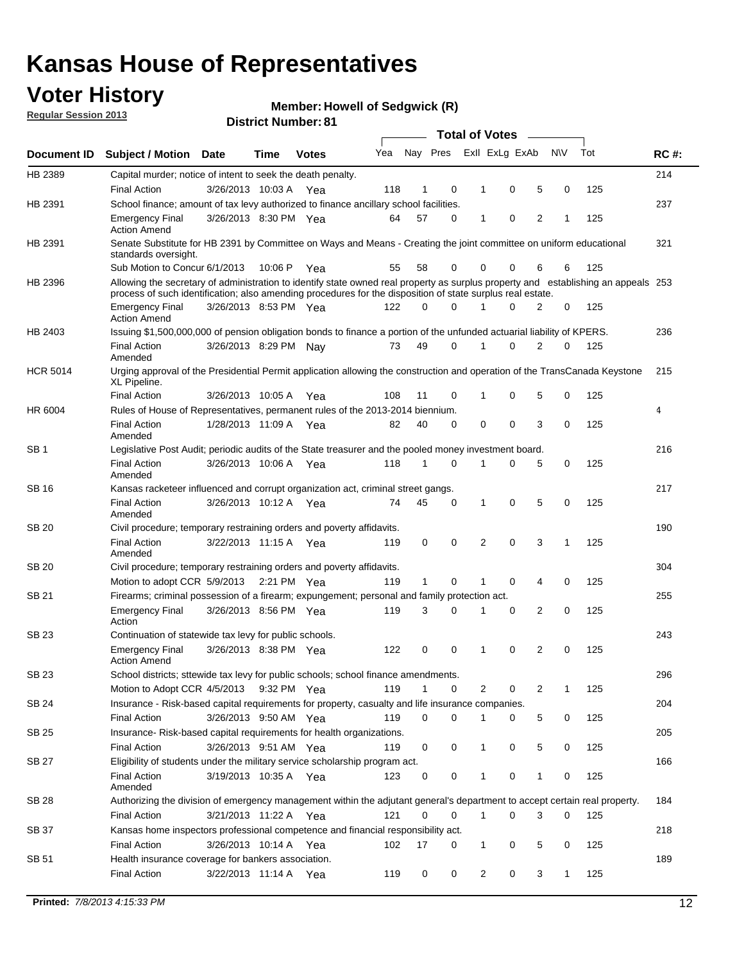## **Voter History**

**Member: Howell of Sedgwick (R)** 

**Regular Session 2013**

| Document ID     |                                                                                                                                                                                                                                                                           |                       |             |              |     | <b>Total of Votes</b> |          |                |   |   |              |     |             |  |  |  |  |  |  |  |  |
|-----------------|---------------------------------------------------------------------------------------------------------------------------------------------------------------------------------------------------------------------------------------------------------------------------|-----------------------|-------------|--------------|-----|-----------------------|----------|----------------|---|---|--------------|-----|-------------|--|--|--|--|--|--|--|--|
|                 | Subject / Motion Date                                                                                                                                                                                                                                                     |                       | Time        | <b>Votes</b> | Yea | Nay Pres              |          | Exll ExLg ExAb |   |   | <b>NV</b>    | Tot | <b>RC#:</b> |  |  |  |  |  |  |  |  |
| HB 2389         | Capital murder; notice of intent to seek the death penalty.                                                                                                                                                                                                               |                       |             |              |     |                       |          |                |   |   |              |     | 214         |  |  |  |  |  |  |  |  |
|                 | <b>Final Action</b>                                                                                                                                                                                                                                                       | 3/26/2013 10:03 A     |             | Yea          | 118 | 1                     | 0        | 1              | 0 | 5 | 0            | 125 |             |  |  |  |  |  |  |  |  |
| HB 2391         | School finance; amount of tax levy authorized to finance ancillary school facilities.                                                                                                                                                                                     |                       |             |              |     |                       |          |                |   |   |              |     | 237         |  |  |  |  |  |  |  |  |
|                 | <b>Emergency Final</b><br><b>Action Amend</b>                                                                                                                                                                                                                             | 3/26/2013 8:30 PM Yea |             |              | 64  | 57                    | 0        | 1              | 0 | 2 | 1            | 125 |             |  |  |  |  |  |  |  |  |
| HB 2391         | Senate Substitute for HB 2391 by Committee on Ways and Means - Creating the joint committee on uniform educational<br>standards oversight.                                                                                                                                |                       |             |              |     |                       |          |                |   |   |              |     | 321         |  |  |  |  |  |  |  |  |
|                 | Sub Motion to Concur 6/1/2013                                                                                                                                                                                                                                             |                       | 10:06 P     | Yea          | 55  | 58                    | 0        | 0              | 0 | 6 | 6            | 125 |             |  |  |  |  |  |  |  |  |
| HB 2396         | Allowing the secretary of administration to identify state owned real property as surplus property and establishing an appeals 253<br>process of such identification; also amending procedures for the disposition of state surplus real estate.<br>3/26/2013 8:53 PM Yea |                       |             |              |     |                       |          |                |   |   |              |     |             |  |  |  |  |  |  |  |  |
|                 | <b>Emergency Final</b><br>Action Amend                                                                                                                                                                                                                                    |                       |             |              | 122 | 0                     | 0        |                | 0 | 2 | 0            | 125 |             |  |  |  |  |  |  |  |  |
| HB 2403         | Issuing \$1,500,000,000 of pension obligation bonds to finance a portion of the unfunded actuarial liability of KPERS.                                                                                                                                                    |                       |             |              |     |                       |          |                |   |   |              |     | 236         |  |  |  |  |  |  |  |  |
|                 | <b>Final Action</b><br>Amended                                                                                                                                                                                                                                            | 3/26/2013 8:29 PM Nay |             |              | 73  | 49                    | 0        | 1              | 0 | 2 | 0            | 125 |             |  |  |  |  |  |  |  |  |
| <b>HCR 5014</b> | Urging approval of the Presidential Permit application allowing the construction and operation of the TransCanada Keystone<br>XL Pipeline.                                                                                                                                |                       |             |              |     |                       |          |                |   |   |              |     | 215         |  |  |  |  |  |  |  |  |
|                 | <b>Final Action</b>                                                                                                                                                                                                                                                       | 3/26/2013 10:05 A     |             | Yea          | 108 | 11                    | 0        |                | 0 | 5 | 0            | 125 |             |  |  |  |  |  |  |  |  |
| HR 6004         | Rules of House of Representatives, permanent rules of the 2013-2014 biennium.                                                                                                                                                                                             |                       |             |              |     |                       |          |                |   |   |              |     | 4           |  |  |  |  |  |  |  |  |
|                 | <b>Final Action</b><br>Amended                                                                                                                                                                                                                                            | 1/28/2013 11:09 A     |             | Yea          | 82  | 40                    | 0        | 0              | 0 | 3 | 0            | 125 |             |  |  |  |  |  |  |  |  |
| SB 1            | Legislative Post Audit; periodic audits of the State treasurer and the pooled money investment board.                                                                                                                                                                     |                       |             |              |     |                       |          |                |   |   |              |     | 216         |  |  |  |  |  |  |  |  |
|                 | <b>Final Action</b><br>Amended                                                                                                                                                                                                                                            | 3/26/2013 10:06 A     |             | Yea          | 118 | 1                     | 0        | 1              | 0 | 5 | 0            | 125 |             |  |  |  |  |  |  |  |  |
| SB 16           | Kansas racketeer influenced and corrupt organization act, criminal street gangs.                                                                                                                                                                                          |                       |             |              |     |                       |          |                |   |   |              |     | 217         |  |  |  |  |  |  |  |  |
|                 | <b>Final Action</b><br>Amended                                                                                                                                                                                                                                            | 3/26/2013 10:12 A Yea |             |              | 74  | 45                    | 0        | 1              | 0 | 5 | 0            | 125 |             |  |  |  |  |  |  |  |  |
| SB 20           | Civil procedure; temporary restraining orders and poverty affidavits.                                                                                                                                                                                                     |                       |             |              |     |                       |          |                |   |   |              |     | 190         |  |  |  |  |  |  |  |  |
|                 | <b>Final Action</b><br>Amended                                                                                                                                                                                                                                            | 3/22/2013 11:15 A     |             | Yea          | 119 | 0                     | 0        | 2              | 0 | 3 | 1            | 125 |             |  |  |  |  |  |  |  |  |
| SB 20           | Civil procedure; temporary restraining orders and poverty affidavits.                                                                                                                                                                                                     |                       |             |              |     |                       |          |                |   |   |              |     | 304         |  |  |  |  |  |  |  |  |
|                 | Motion to adopt CCR 5/9/2013                                                                                                                                                                                                                                              |                       | 2:21 PM Yea |              | 119 | $\mathbf{1}$          | 0        | 1              | 0 | 4 | 0            | 125 |             |  |  |  |  |  |  |  |  |
| SB 21           | Firearms; criminal possession of a firearm; expungement; personal and family protection act.                                                                                                                                                                              |                       |             |              |     |                       |          |                |   |   |              |     | 255         |  |  |  |  |  |  |  |  |
|                 | <b>Emergency Final</b><br>Action                                                                                                                                                                                                                                          | 3/26/2013 8:56 PM Yea |             |              | 119 | 3                     | 0        |                | 0 | 2 | 0            | 125 |             |  |  |  |  |  |  |  |  |
| SB 23           | Continuation of statewide tax levy for public schools.                                                                                                                                                                                                                    |                       |             |              |     |                       |          |                |   |   |              |     | 243         |  |  |  |  |  |  |  |  |
|                 | <b>Emergency Final</b><br><b>Action Amend</b>                                                                                                                                                                                                                             | 3/26/2013 8:38 PM Yea |             |              | 122 | 0                     | 0        | 1              | 0 | 2 | 0            | 125 |             |  |  |  |  |  |  |  |  |
| <b>SB 23</b>    | School districts; sttewide tax levy for public schools; school finance amendments.                                                                                                                                                                                        |                       |             |              |     |                       |          |                |   |   |              |     | 296         |  |  |  |  |  |  |  |  |
|                 | Motion to Adopt CCR 4/5/2013 9:32 PM Yea                                                                                                                                                                                                                                  |                       |             |              | 119 | 1                     | 0        | 2              | 0 | 2 | 1            | 125 |             |  |  |  |  |  |  |  |  |
| <b>SB 24</b>    | Insurance - Risk-based capital requirements for property, casualty and life insurance companies.                                                                                                                                                                          |                       |             |              |     |                       |          |                |   |   |              |     | 204         |  |  |  |  |  |  |  |  |
|                 | <b>Final Action</b>                                                                                                                                                                                                                                                       | 3/26/2013 9:50 AM Yea |             |              | 119 | 0                     | 0        |                | 0 | 5 | 0            | 125 |             |  |  |  |  |  |  |  |  |
| SB 25           | Insurance-Risk-based capital requirements for health organizations.                                                                                                                                                                                                       |                       |             |              |     |                       |          |                |   |   |              |     | 205         |  |  |  |  |  |  |  |  |
|                 | <b>Final Action</b>                                                                                                                                                                                                                                                       | 3/26/2013 9:51 AM Yea |             |              | 119 | 0                     | 0        | 1              | 0 | 5 | 0            | 125 |             |  |  |  |  |  |  |  |  |
| SB 27           | Eligibility of students under the military service scholarship program act.                                                                                                                                                                                               |                       |             |              |     |                       |          |                |   |   |              |     | 166         |  |  |  |  |  |  |  |  |
|                 | <b>Final Action</b><br>Amended                                                                                                                                                                                                                                            | 3/19/2013 10:35 A Yea |             |              | 123 | 0                     | 0        |                | 0 | 1 | 0            | 125 |             |  |  |  |  |  |  |  |  |
| SB 28           | Authorizing the division of emergency management within the adjutant general's department to accept certain real property.                                                                                                                                                |                       |             |              |     |                       |          |                |   |   |              |     | 184         |  |  |  |  |  |  |  |  |
|                 | <b>Final Action</b>                                                                                                                                                                                                                                                       | 3/21/2013 11:22 A Yea |             |              | 121 | 0                     | $\Omega$ | 1              | 0 | 3 | $\Omega$     | 125 |             |  |  |  |  |  |  |  |  |
| SB 37           | Kansas home inspectors professional competence and financial responsibility act.                                                                                                                                                                                          |                       |             |              |     |                       |          |                |   |   |              |     | 218         |  |  |  |  |  |  |  |  |
|                 | <b>Final Action</b>                                                                                                                                                                                                                                                       | 3/26/2013 10:14 A Yea |             |              | 102 | 17                    | 0        | 1              | 0 | 5 | 0            | 125 |             |  |  |  |  |  |  |  |  |
| SB 51           | Health insurance coverage for bankers association.                                                                                                                                                                                                                        |                       |             |              |     |                       |          |                |   |   |              |     | 189         |  |  |  |  |  |  |  |  |
|                 | <b>Final Action</b>                                                                                                                                                                                                                                                       | 3/22/2013 11:14 A Yea |             |              | 119 | 0                     | 0        | $\overline{2}$ | 0 | 3 | $\mathbf{1}$ | 125 |             |  |  |  |  |  |  |  |  |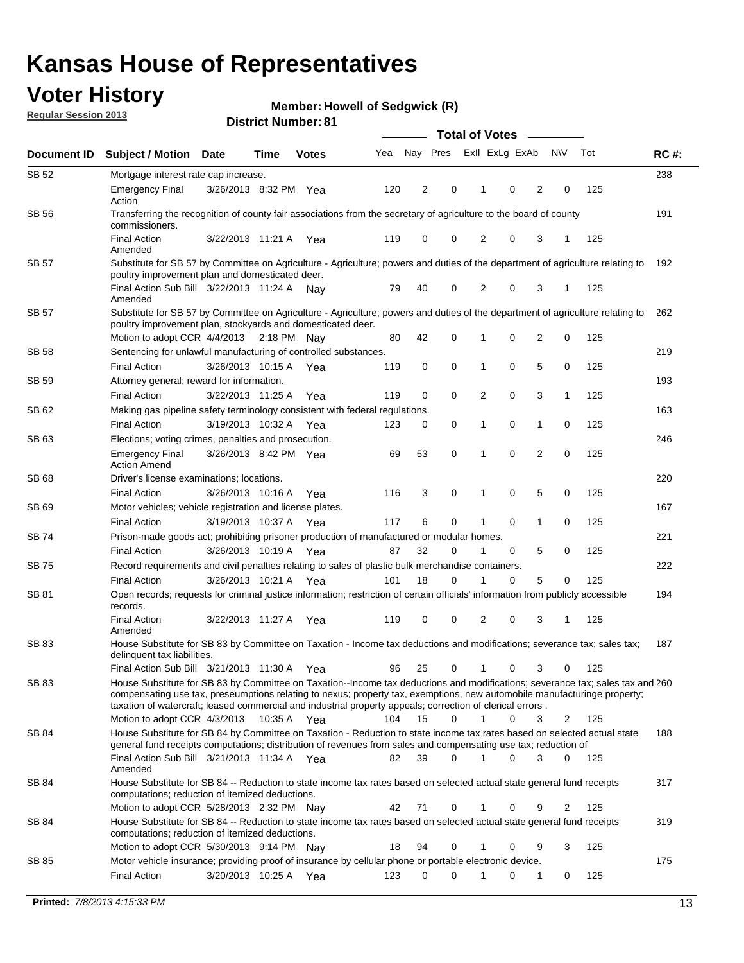## **Voter History**

**Member: Howell of Sedgwick (R)** 

**Regular Session 2013**

|              |                                                                                                                                                                                                                                                                                                                                                                                                         |                       |             |              |     | <b>Total of Votes</b> |             |                |   |                |             |     |             |  |  |  |  |  |  |  |  |
|--------------|---------------------------------------------------------------------------------------------------------------------------------------------------------------------------------------------------------------------------------------------------------------------------------------------------------------------------------------------------------------------------------------------------------|-----------------------|-------------|--------------|-----|-----------------------|-------------|----------------|---|----------------|-------------|-----|-------------|--|--|--|--|--|--|--|--|
| Document ID  | <b>Subject / Motion Date</b>                                                                                                                                                                                                                                                                                                                                                                            |                       | Time        | <b>Votes</b> | Yea | Nay Pres              |             | Exll ExLg ExAb |   |                | <b>NV</b>   | Tot | <b>RC#:</b> |  |  |  |  |  |  |  |  |
| SB 52        | Mortgage interest rate cap increase.                                                                                                                                                                                                                                                                                                                                                                    |                       |             |              |     |                       |             |                |   |                |             |     | 238         |  |  |  |  |  |  |  |  |
|              | <b>Emergency Final</b><br>Action                                                                                                                                                                                                                                                                                                                                                                        | 3/26/2013 8:32 PM Yea |             |              | 120 | 2                     | 0           |                | 0 | 2              | 0           | 125 |             |  |  |  |  |  |  |  |  |
| SB 56        | Transferring the recognition of county fair associations from the secretary of agriculture to the board of county<br>commissioners.                                                                                                                                                                                                                                                                     |                       |             |              |     |                       |             |                |   |                |             |     | 191         |  |  |  |  |  |  |  |  |
|              | <b>Final Action</b><br>Amended                                                                                                                                                                                                                                                                                                                                                                          | 3/22/2013 11:21 A     |             | Yea          | 119 | 0                     | 0           | 2              | 0 | 3              | 1           | 125 |             |  |  |  |  |  |  |  |  |
| SB 57        | Substitute for SB 57 by Committee on Agriculture - Agriculture; powers and duties of the department of agriculture relating to<br>poultry improvement plan and domesticated deer.                                                                                                                                                                                                                       |                       |             |              |     |                       |             |                |   |                |             |     | 192         |  |  |  |  |  |  |  |  |
|              | Final Action Sub Bill 3/22/2013 11:24 A<br>Amended                                                                                                                                                                                                                                                                                                                                                      |                       |             | Nav          | 79  | 40                    | 0           | 2              | 0 | 3              | 1           | 125 |             |  |  |  |  |  |  |  |  |
| SB 57        | Substitute for SB 57 by Committee on Agriculture - Agriculture; powers and duties of the department of agriculture relating to<br>poultry improvement plan, stockyards and domesticated deer.                                                                                                                                                                                                           |                       |             |              |     |                       |             |                |   |                |             |     | 262         |  |  |  |  |  |  |  |  |
|              | Motion to adopt CCR 4/4/2013 2:18 PM Nay                                                                                                                                                                                                                                                                                                                                                                |                       |             |              | 80  | 42                    | 0           | 1              | 0 | 2              | 0           | 125 |             |  |  |  |  |  |  |  |  |
| SB 58        | Sentencing for unlawful manufacturing of controlled substances.                                                                                                                                                                                                                                                                                                                                         |                       |             |              |     |                       |             |                |   |                |             |     | 219         |  |  |  |  |  |  |  |  |
|              | <b>Final Action</b>                                                                                                                                                                                                                                                                                                                                                                                     | 3/26/2013 10:15 A     |             | Yea          | 119 | 0                     | 0           | 1              | 0 | 5              | 0           | 125 |             |  |  |  |  |  |  |  |  |
| <b>SB 59</b> | Attorney general; reward for information.                                                                                                                                                                                                                                                                                                                                                               |                       |             |              |     |                       |             |                |   |                |             |     | 193         |  |  |  |  |  |  |  |  |
|              | <b>Final Action</b>                                                                                                                                                                                                                                                                                                                                                                                     | 3/22/2013 11:25 A     |             | Yea          | 119 | 0                     | 0           | 2              | 0 | 3              | 1           | 125 |             |  |  |  |  |  |  |  |  |
| SB 62        | Making gas pipeline safety terminology consistent with federal regulations.                                                                                                                                                                                                                                                                                                                             |                       |             |              |     |                       |             |                |   |                |             |     | 163         |  |  |  |  |  |  |  |  |
|              | <b>Final Action</b>                                                                                                                                                                                                                                                                                                                                                                                     | 3/19/2013 10:32 A     |             | Yea          | 123 | 0                     | 0           | 1              | 0 | 1              | 0           | 125 |             |  |  |  |  |  |  |  |  |
| SB 63        | Elections; voting crimes, penalties and prosecution.                                                                                                                                                                                                                                                                                                                                                    |                       |             |              |     |                       |             |                |   |                |             |     | 246         |  |  |  |  |  |  |  |  |
|              | <b>Emergency Final</b><br><b>Action Amend</b>                                                                                                                                                                                                                                                                                                                                                           | 3/26/2013 8:42 PM Yea |             |              | 69  | 53                    | $\mathbf 0$ | 1              | 0 | $\overline{2}$ | $\mathbf 0$ | 125 |             |  |  |  |  |  |  |  |  |
| SB 68        | Driver's license examinations; locations.                                                                                                                                                                                                                                                                                                                                                               |                       |             |              |     |                       |             |                |   |                |             |     | 220         |  |  |  |  |  |  |  |  |
| SB 69        | <b>Final Action</b>                                                                                                                                                                                                                                                                                                                                                                                     | 3/26/2013 10:16 A     |             | Yea          | 116 | 3                     | 0           | 1              | 0 | 5              | 0           | 125 |             |  |  |  |  |  |  |  |  |
|              | Motor vehicles; vehicle registration and license plates.                                                                                                                                                                                                                                                                                                                                                |                       |             |              |     |                       |             |                |   |                |             |     | 167         |  |  |  |  |  |  |  |  |
|              | <b>Final Action</b>                                                                                                                                                                                                                                                                                                                                                                                     | 3/19/2013 10:37 A     |             | Yea          | 117 | 6                     | 0           | 1              | 0 | 1              | 0           | 125 |             |  |  |  |  |  |  |  |  |
| SB 74        | Prison-made goods act; prohibiting prisoner production of manufactured or modular homes.                                                                                                                                                                                                                                                                                                                |                       |             |              |     |                       |             |                |   |                |             |     | 221         |  |  |  |  |  |  |  |  |
|              | <b>Final Action</b>                                                                                                                                                                                                                                                                                                                                                                                     | 3/26/2013 10:19 A     |             | Yea          | 87  | 32                    | 0           | 1              | 0 | 5              | 0           | 125 |             |  |  |  |  |  |  |  |  |
| SB 75        | Record requirements and civil penalties relating to sales of plastic bulk merchandise containers.                                                                                                                                                                                                                                                                                                       |                       |             |              |     | 18                    | 0           | 1              | 0 | 5              | 0           | 125 | 222         |  |  |  |  |  |  |  |  |
|              | <b>Final Action</b>                                                                                                                                                                                                                                                                                                                                                                                     | 3/26/2013 10:21 A     |             | Yea          | 101 |                       |             |                |   |                |             |     |             |  |  |  |  |  |  |  |  |
| SB 81        | Open records; requests for criminal justice information; restriction of certain officials' information from publicly accessible<br>records.<br><b>Final Action</b>                                                                                                                                                                                                                                      | 3/22/2013 11:27 A     |             |              | 119 | 0                     | 0           | 2              | 0 | 3              | 1           | 125 | 194         |  |  |  |  |  |  |  |  |
|              | Amended                                                                                                                                                                                                                                                                                                                                                                                                 |                       |             | Yea          |     |                       |             |                |   |                |             |     |             |  |  |  |  |  |  |  |  |
| <b>SB83</b>  | House Substitute for SB 83 by Committee on Taxation - Income tax deductions and modifications; severance tax; sales tax;<br>delinquent tax liabilities.                                                                                                                                                                                                                                                 |                       |             |              |     |                       |             |                |   |                |             |     | 187         |  |  |  |  |  |  |  |  |
|              | Final Action Sub Bill 3/21/2013 11:30 A Yea                                                                                                                                                                                                                                                                                                                                                             |                       |             |              | 96  | 25                    | 0           | 1              | 0 | 3              | 0           | 125 |             |  |  |  |  |  |  |  |  |
| SB 83        | House Substitute for SB 83 by Committee on Taxation--Income tax deductions and modifications; severance tax; sales tax and 260<br>compensating use tax, preseumptions relating to nexus; property tax, exemptions, new automobile manufacturinge property;<br>taxation of watercraft; leased commercial and industrial property appeals; correction of clerical errors.<br>Motion to adopt CCR 4/3/2013 |                       | 10:35 A Yea |              | 104 | 15                    | 0           | $\mathbf{1}$   | 0 | 3              | 2           | 125 |             |  |  |  |  |  |  |  |  |
| SB 84        | House Substitute for SB 84 by Committee on Taxation - Reduction to state income tax rates based on selected actual state                                                                                                                                                                                                                                                                                |                       |             |              |     |                       |             |                |   |                |             |     | 188         |  |  |  |  |  |  |  |  |
|              | general fund receipts computations; distribution of revenues from sales and compensating use tax; reduction of<br>Final Action Sub Bill 3/21/2013 11:34 A Yea                                                                                                                                                                                                                                           |                       |             |              | 82  | 39                    | $\Omega$    |                | 0 | 3              | $\Omega$    | 125 |             |  |  |  |  |  |  |  |  |
|              | Amended                                                                                                                                                                                                                                                                                                                                                                                                 |                       |             |              |     |                       |             |                |   |                |             |     |             |  |  |  |  |  |  |  |  |
| SB 84        | House Substitute for SB 84 -- Reduction to state income tax rates based on selected actual state general fund receipts<br>computations; reduction of itemized deductions.                                                                                                                                                                                                                               |                       |             |              |     |                       |             |                |   |                |             |     | 317         |  |  |  |  |  |  |  |  |
|              | Motion to adopt CCR 5/28/2013 2:32 PM Nav                                                                                                                                                                                                                                                                                                                                                               |                       |             |              | 42  | 71                    | 0           |                | 0 | 9              | 2           | 125 |             |  |  |  |  |  |  |  |  |
| SB 84        | House Substitute for SB 84 -- Reduction to state income tax rates based on selected actual state general fund receipts<br>computations; reduction of itemized deductions.                                                                                                                                                                                                                               |                       |             |              |     |                       |             |                |   |                | 3           |     | 319         |  |  |  |  |  |  |  |  |
|              | Motion to adopt CCR 5/30/2013 9:14 PM Nay                                                                                                                                                                                                                                                                                                                                                               |                       |             |              | 18  | 94                    | 0           |                | 0 | 9              |             | 125 |             |  |  |  |  |  |  |  |  |
| SB 85        | Motor vehicle insurance; providing proof of insurance by cellular phone or portable electronic device.                                                                                                                                                                                                                                                                                                  |                       |             |              |     | 0                     | $\Omega$    |                | 0 |                | 0           | 125 | 175         |  |  |  |  |  |  |  |  |
|              | <b>Final Action</b>                                                                                                                                                                                                                                                                                                                                                                                     | 3/20/2013 10:25 A Yea |             |              | 123 |                       |             |                |   | 1              |             |     |             |  |  |  |  |  |  |  |  |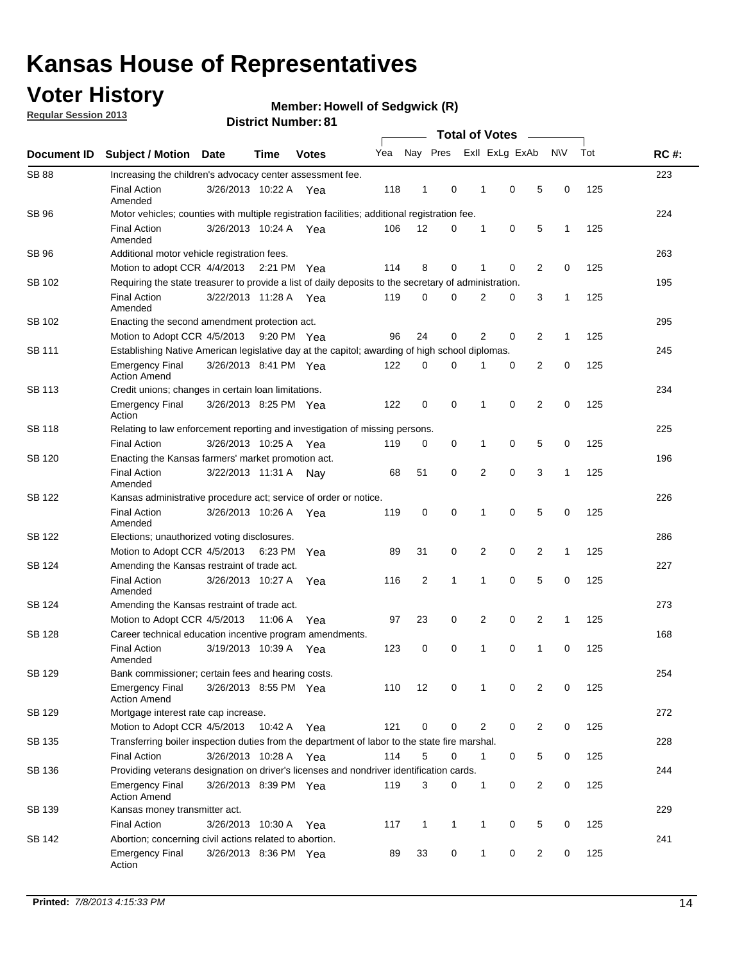## **Voter History**

**Member: Howell of Sedgwick (R)** 

**Regular Session 2013**

|                    |                                                                                                       | ט וסעוווטנו ועווווטר  |             |              |     |              |              |                       |                |                |                |             |     |             |
|--------------------|-------------------------------------------------------------------------------------------------------|-----------------------|-------------|--------------|-----|--------------|--------------|-----------------------|----------------|----------------|----------------|-------------|-----|-------------|
| <b>Document ID</b> | <b>Subject / Motion</b>                                                                               | <b>Date</b>           | <b>Time</b> | <b>Votes</b> | Yea |              | Nay Pres     | <b>Total of Votes</b> |                | Exll ExLg ExAb |                | <b>NV</b>   | Tot | <b>RC#:</b> |
| <b>SB 88</b>       | Increasing the children's advocacy center assessment fee.                                             |                       |             |              |     |              |              |                       |                |                |                |             |     | 223         |
|                    | <b>Final Action</b><br>Amended                                                                        | 3/26/2013 10:22 A Yea |             |              | 118 | 1            | 0            |                       | 1              | 0              | 5              | 0           | 125 |             |
| SB 96              | Motor vehicles; counties with multiple registration facilities; additional registration fee.          |                       |             |              |     |              |              |                       |                |                |                |             |     | 224         |
|                    | <b>Final Action</b><br>Amended                                                                        | 3/26/2013 10:24 A     |             | Yea          | 106 | 12           | 0            |                       | 1              | 0              | 5              | 1           | 125 |             |
| SB 96              | Additional motor vehicle registration fees.                                                           |                       |             |              |     |              |              |                       |                |                |                |             |     | 263         |
|                    | Motion to adopt CCR 4/4/2013 2:21 PM Yea                                                              |                       |             |              | 114 | 8            | 0            |                       | 1              | 0              | 2              | 0           | 125 |             |
| SB 102             | Requiring the state treasurer to provide a list of daily deposits to the secretary of administration. |                       |             |              |     |              |              |                       |                |                |                |             |     | 195         |
|                    | <b>Final Action</b><br>Amended                                                                        | 3/22/2013 11:28 A Yea |             |              | 119 | 0            | 0            |                       | 2              | 0              | 3              | 1           | 125 |             |
| SB 102             | Enacting the second amendment protection act.                                                         |                       |             |              |     |              |              |                       |                |                |                |             |     | 295         |
|                    | Motion to Adopt CCR 4/5/2013 9:20 PM Yea                                                              |                       |             |              | 96  | 24           | 0            |                       | $\overline{2}$ | 0              | 2              | 1           | 125 |             |
| <b>SB 111</b>      | Establishing Native American legislative day at the capitol; awarding of high school diplomas.        |                       |             |              |     |              |              |                       |                |                |                |             |     | 245         |
|                    | <b>Emergency Final</b><br><b>Action Amend</b>                                                         | 3/26/2013 8:41 PM Yea |             |              | 122 | 0            | $\Omega$     |                       |                | 0              | 2              | 0           | 125 |             |
| <b>SB 113</b>      | Credit unions; changes in certain loan limitations.                                                   |                       |             |              |     |              |              |                       |                |                |                |             |     | 234         |
|                    | <b>Emergency Final</b><br>Action                                                                      | 3/26/2013 8:25 PM Yea |             |              | 122 | 0            | 0            |                       | 1              | $\mathbf 0$    | 2              | $\mathbf 0$ | 125 |             |
| <b>SB 118</b>      | Relating to law enforcement reporting and investigation of missing persons.                           |                       |             |              |     |              |              |                       |                |                |                |             |     | 225         |
|                    | <b>Final Action</b>                                                                                   | 3/26/2013 10:25 A     |             | Yea          | 119 | 0            | 0            |                       | 1              | 0              | 5              | 0           | 125 |             |
| SB 120             | Enacting the Kansas farmers' market promotion act.                                                    |                       |             |              |     |              |              |                       |                |                |                | 196         |     |             |
|                    | <b>Final Action</b><br>Amended                                                                        | 3/22/2013 11:31 A     |             | Nav          | 68  | 51           | 0            |                       | 2              | $\mathbf 0$    | 3              | 1           | 125 |             |
| SB 122             | Kansas administrative procedure act; service of order or notice.                                      |                       |             |              |     |              |              |                       |                |                |                | 226         |     |             |
|                    | <b>Final Action</b><br>Amended                                                                        | 3/26/2013 10:26 A Yea |             |              | 119 | 0            | 0            |                       | 1              | 0              | 5              | 0           | 125 |             |
| <b>SB 122</b>      | Elections; unauthorized voting disclosures.                                                           |                       |             |              |     |              |              |                       |                |                |                | 286         |     |             |
|                    | Motion to Adopt CCR 4/5/2013                                                                          |                       | 6:23 PM     | Yea          | 89  | 31           | 0            |                       | 2              | 0              | $\overline{c}$ | 1           | 125 |             |
| SB 124             | Amending the Kansas restraint of trade act.                                                           |                       |             |              |     |              |              |                       |                |                |                |             |     | 227         |
|                    | <b>Final Action</b><br>Amended                                                                        | 3/26/2013 10:27 A     |             | Yea          | 116 | 2            | 1            |                       | 1              | $\mathbf 0$    | 5              | $\mathbf 0$ | 125 |             |
| SB 124             | Amending the Kansas restraint of trade act.                                                           |                       |             |              |     |              |              |                       |                |                |                |             |     | 273         |
|                    | Motion to Adopt CCR 4/5/2013                                                                          |                       | 11:06 A     | Yea          | 97  | 23           | 0            |                       | 2              | $\mathbf 0$    | 2              | 1           | 125 |             |
| SB 128             | Career technical education incentive program amendments.                                              |                       |             |              |     |              |              |                       |                |                |                |             |     | 168         |
|                    | <b>Final Action</b><br>Amended                                                                        | 3/19/2013 10:39 A     |             | Yea          | 123 | 0            | 0            |                       | 1              | 0              | 1              | 0           | 125 |             |
| SB 129             | Bank commissioner; certain fees and hearing costs.                                                    |                       |             |              |     |              |              |                       |                |                |                |             |     | 254         |
|                    | <b>Emergency Final</b><br><b>Action Amend</b>                                                         | 3/26/2013 8:55 PM Yea |             |              | 110 | 12           | 0            |                       | 1              | 0              | 2              | 0           | 125 |             |
| <b>SB 129</b>      | Mortgage interest rate cap increase.                                                                  |                       |             |              |     |              |              |                       |                |                |                |             |     | 272         |
|                    | Motion to Adopt CCR 4/5/2013                                                                          |                       | 10:42 A Yea |              | 121 | $\mathbf 0$  | 0            |                       | 2              | 0              | 2              | 0           | 125 |             |
| SB 135             | Transferring boiler inspection duties from the department of labor to the state fire marshal.         |                       |             |              |     |              |              |                       |                |                |                |             |     | 228         |
|                    | <b>Final Action</b>                                                                                   | 3/26/2013 10:28 A Yea |             |              | 114 | 5            | 0            |                       | 1              | 0              | 5              | 0           | 125 |             |
| SB 136             | Providing veterans designation on driver's licenses and nondriver identification cards.               |                       |             |              |     |              |              |                       |                |                |                |             |     | 244         |
|                    | <b>Emergency Final</b><br><b>Action Amend</b>                                                         | 3/26/2013 8:39 PM Yea |             |              | 119 | 3            | 0            |                       | $\mathbf{1}$   | 0              | 2              | 0           | 125 |             |
| SB 139             | Kansas money transmitter act.                                                                         |                       |             |              |     |              |              |                       |                |                |                |             |     | 229         |
|                    | <b>Final Action</b>                                                                                   | 3/26/2013 10:30 A Yea |             |              | 117 | $\mathbf{1}$ | $\mathbf{1}$ |                       | $\mathbf{1}$   | 0              | 5              | 0           | 125 |             |
| SB 142             | Abortion; concerning civil actions related to abortion.                                               |                       |             |              |     |              |              |                       |                |                |                |             |     | 241         |
|                    | <b>Emergency Final</b><br>Action                                                                      | 3/26/2013 8:36 PM Yea |             |              | 89  | 33           | 0            |                       | $\mathbf{1}$   | 0              | $\overline{2}$ | 0           | 125 |             |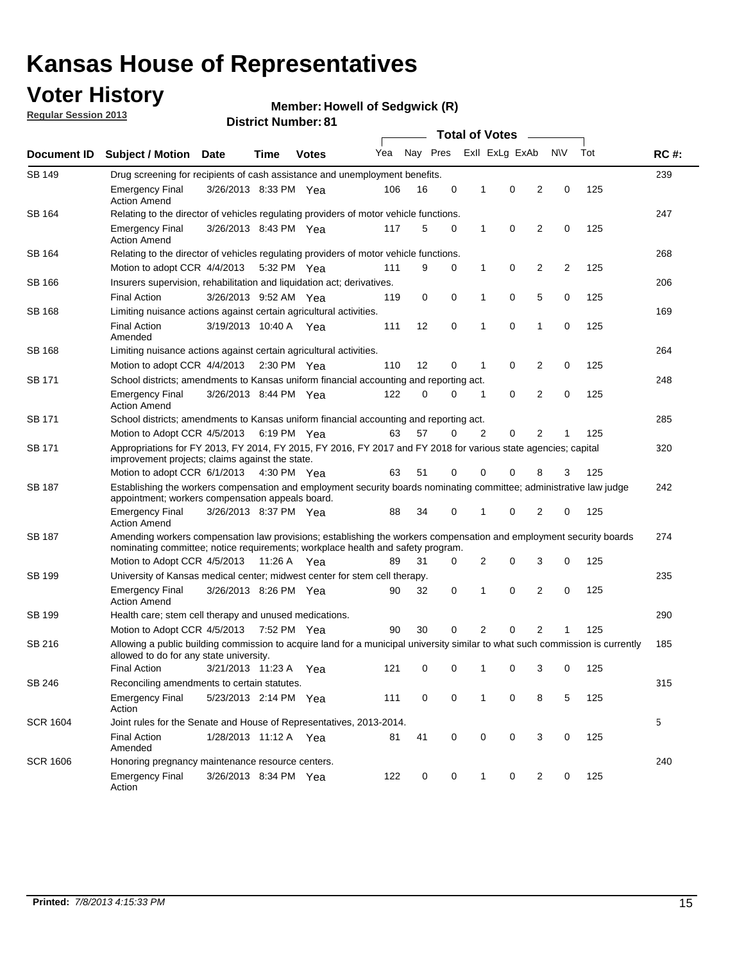## **Voter History**

**Member: Howell of Sedgwick (R)** 

**Regular Session 2013**

| Document ID     |                                                                                                                                                                                                               |                                                                                                                                                                                                       |             |                       |     |          | <b>Total of Votes</b> |   |                |                |           |     | <b>RC#:</b> |  |  |  |  |  |
|-----------------|---------------------------------------------------------------------------------------------------------------------------------------------------------------------------------------------------------------|-------------------------------------------------------------------------------------------------------------------------------------------------------------------------------------------------------|-------------|-----------------------|-----|----------|-----------------------|---|----------------|----------------|-----------|-----|-------------|--|--|--|--|--|
|                 | <b>Subject / Motion</b>                                                                                                                                                                                       | <b>Date</b>                                                                                                                                                                                           | Time        | <b>Votes</b>          | Yea | Nay Pres |                       |   | Exll ExLg ExAb |                | <b>NV</b> | Tot |             |  |  |  |  |  |
| SB 149          | Drug screening for recipients of cash assistance and unemployment benefits.                                                                                                                                   |                                                                                                                                                                                                       |             |                       |     |          |                       |   |                |                |           |     | 239         |  |  |  |  |  |
|                 | <b>Emergency Final</b><br><b>Action Amend</b>                                                                                                                                                                 | 3/26/2013 8:33 PM Yea                                                                                                                                                                                 |             |                       | 106 | 16       | 0                     | 1 | 0              | 2              | 0         | 125 |             |  |  |  |  |  |
| SB 164          | Relating to the director of vehicles regulating providers of motor vehicle functions.                                                                                                                         |                                                                                                                                                                                                       |             |                       |     |          |                       |   |                |                |           |     | 247         |  |  |  |  |  |
|                 | <b>Emergency Final</b><br><b>Action Amend</b>                                                                                                                                                                 | 3/26/2013 8:43 PM Yea                                                                                                                                                                                 |             |                       | 117 | 5        | 0                     | 1 | 0              | 2              | 0         | 125 |             |  |  |  |  |  |
| SB 164          | Relating to the director of vehicles regulating providers of motor vehicle functions.                                                                                                                         |                                                                                                                                                                                                       |             |                       |     |          |                       |   |                |                |           |     | 268         |  |  |  |  |  |
|                 | Motion to adopt CCR 4/4/2013 5:32 PM Yea                                                                                                                                                                      |                                                                                                                                                                                                       |             |                       | 111 | 9        | 0                     | 1 | 0              | 2<br>2<br>125  |           |     |             |  |  |  |  |  |
| SB 166          | Insurers supervision, rehabilitation and liquidation act; derivatives.                                                                                                                                        |                                                                                                                                                                                                       |             |                       |     |          |                       |   |                |                |           |     | 206         |  |  |  |  |  |
|                 | <b>Final Action</b>                                                                                                                                                                                           | 3/26/2013 9:52 AM Yea                                                                                                                                                                                 |             |                       | 119 | 0        | $\mathbf 0$           | 1 | 0              | 5              | 0         | 125 |             |  |  |  |  |  |
| SB 168          | Limiting nuisance actions against certain agricultural activities.                                                                                                                                            |                                                                                                                                                                                                       |             |                       |     |          |                       |   |                |                |           |     | 169         |  |  |  |  |  |
|                 | Final Action<br>Amended                                                                                                                                                                                       | 3/19/2013 10:40 A Yea                                                                                                                                                                                 |             |                       | 111 | 12       | 0                     | 1 | 0              | 1              | 0         | 125 |             |  |  |  |  |  |
| SB 168          | Limiting nuisance actions against certain agricultural activities.                                                                                                                                            |                                                                                                                                                                                                       |             |                       |     |          |                       |   |                |                |           |     | 264         |  |  |  |  |  |
|                 | Motion to adopt CCR 4/4/2013                                                                                                                                                                                  |                                                                                                                                                                                                       |             | $2:30 \text{ PM}$ Yea | 110 | 12       | 0                     | 1 | 0              | 2              | 0         | 125 |             |  |  |  |  |  |
| SB 171          | School districts; amendments to Kansas uniform financial accounting and reporting act.                                                                                                                        |                                                                                                                                                                                                       |             |                       |     |          |                       |   |                |                |           |     | 248         |  |  |  |  |  |
|                 | <b>Emergency Final</b><br><b>Action Amend</b>                                                                                                                                                                 | 3/26/2013 8:44 PM Yea                                                                                                                                                                                 |             |                       | 122 | 0        | 0                     | 1 | 0              | $\overline{2}$ | 0         | 125 |             |  |  |  |  |  |
| SB 171          | School districts; amendments to Kansas uniform financial accounting and reporting act.                                                                                                                        |                                                                                                                                                                                                       |             |                       |     |          |                       |   |                |                |           |     | 285         |  |  |  |  |  |
|                 | Motion to Adopt CCR 4/5/2013 6:19 PM Yea                                                                                                                                                                      |                                                                                                                                                                                                       |             |                       | 63  | 57       | 0                     | 2 | 0              | 2              |           | 125 |             |  |  |  |  |  |
| SB 171          | Appropriations for FY 2013, FY 2014, FY 2015, FY 2016, FY 2017 and FY 2018 for various state agencies; capital<br>improvement projects; claims against the state.<br>Motion to adopt CCR 6/1/2013 4:30 PM Yea |                                                                                                                                                                                                       |             |                       | 63  | 51       | 0                     | 0 | 0              | 8              | 3         | 125 | 320         |  |  |  |  |  |
| SB 187          |                                                                                                                                                                                                               |                                                                                                                                                                                                       |             |                       |     |          |                       |   |                |                |           |     | 242         |  |  |  |  |  |
|                 |                                                                                                                                                                                                               | Establishing the workers compensation and employment security boards nominating committee; administrative law judge<br>appointment; workers compensation appeals board.                               |             |                       |     |          |                       |   |                |                |           |     |             |  |  |  |  |  |
|                 | <b>Emergency Final</b><br><b>Action Amend</b>                                                                                                                                                                 | 3/26/2013 8:37 PM Yea                                                                                                                                                                                 |             |                       | 88  | 34       | 0                     | 1 | 0              | 2              | 0         | 125 |             |  |  |  |  |  |
| SB 187          |                                                                                                                                                                                                               | Amending workers compensation law provisions; establishing the workers compensation and employment security boards<br>nominating committee; notice requirements; workplace health and safety program. |             |                       |     |          |                       |   |                |                |           |     |             |  |  |  |  |  |
|                 | Motion to Adopt CCR 4/5/2013 11:26 A Yea                                                                                                                                                                      |                                                                                                                                                                                                       |             |                       | 89  | 31       | 0                     | 2 | 0              | 3              | 0         | 125 |             |  |  |  |  |  |
| SB 199          | University of Kansas medical center; midwest center for stem cell therapy.                                                                                                                                    |                                                                                                                                                                                                       |             |                       |     |          |                       |   |                |                |           |     | 235         |  |  |  |  |  |
|                 | <b>Emergency Final</b><br><b>Action Amend</b>                                                                                                                                                                 | 3/26/2013 8:26 PM Yea                                                                                                                                                                                 |             |                       | 90  | 32       | 0                     | 1 | 0              | 2              | 0         | 125 |             |  |  |  |  |  |
| SB 199          | Health care; stem cell therapy and unused medications.                                                                                                                                                        |                                                                                                                                                                                                       |             |                       |     |          |                       |   |                |                |           |     | 290         |  |  |  |  |  |
|                 | Motion to Adopt CCR 4/5/2013                                                                                                                                                                                  |                                                                                                                                                                                                       | 7:52 PM Yea |                       | 90  | 30       | 0                     | 2 | 0              | $\overline{2}$ |           | 125 |             |  |  |  |  |  |
| SB 216          |                                                                                                                                                                                                               | Allowing a public building commission to acquire land for a municipal university similar to what such commission is currently<br>allowed to do for any state university.                              |             |                       |     |          |                       |   |                |                |           |     | 185         |  |  |  |  |  |
|                 | <b>Final Action</b>                                                                                                                                                                                           | 3/21/2013 11:23 A                                                                                                                                                                                     |             | Yea                   | 121 | 0        | 0                     | 1 | 0              | 3              | 0         | 125 |             |  |  |  |  |  |
| SB 246          | Reconciling amendments to certain statutes.                                                                                                                                                                   |                                                                                                                                                                                                       |             |                       |     |          |                       |   |                |                |           |     | 315         |  |  |  |  |  |
|                 | <b>Emergency Final</b><br>Action                                                                                                                                                                              | 5/23/2013 2:14 PM Yea                                                                                                                                                                                 |             |                       | 111 | 0        | 0                     | 1 | 0              | 8              | 5         | 125 |             |  |  |  |  |  |
| <b>SCR 1604</b> | Joint rules for the Senate and House of Representatives, 2013-2014.                                                                                                                                           |                                                                                                                                                                                                       |             |                       |     |          |                       |   |                |                |           |     | 5           |  |  |  |  |  |
|                 | <b>Final Action</b><br>Amended                                                                                                                                                                                | 1/28/2013 11:12 A Yea                                                                                                                                                                                 |             |                       | 81  | 41       | 0                     | 0 | 0              | 3              | 0         | 125 |             |  |  |  |  |  |
| <b>SCR 1606</b> | Honoring pregnancy maintenance resource centers.                                                                                                                                                              |                                                                                                                                                                                                       |             |                       |     |          |                       |   |                |                |           |     | 240         |  |  |  |  |  |
|                 | <b>Emergency Final</b><br>Action                                                                                                                                                                              | 3/26/2013 8:34 PM Yea                                                                                                                                                                                 |             |                       | 122 | 0        | 0                     | 1 | 0              | 2              | 0         | 125 |             |  |  |  |  |  |